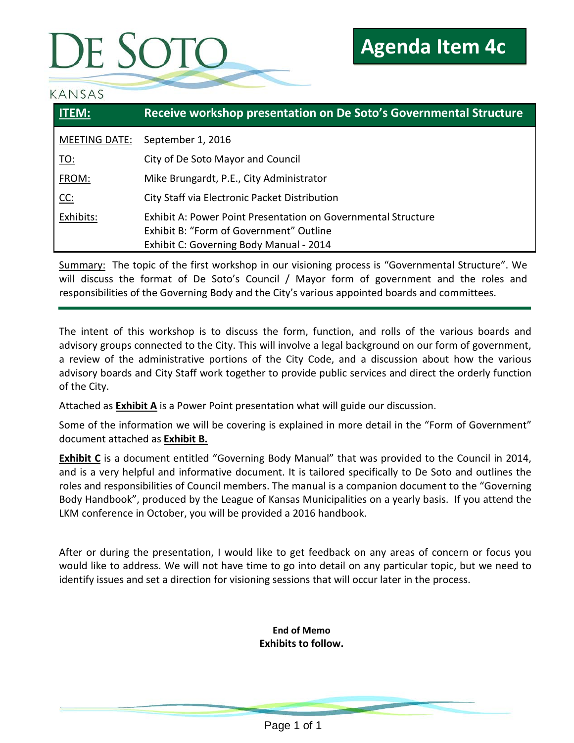# DE SOTO

#### KANSAS

| <b>ITEM:</b>  | Receive workshop presentation on De Soto's Governmental Structure                                                                                   |
|---------------|-----------------------------------------------------------------------------------------------------------------------------------------------------|
| MEETING DATE: | September 1, 2016                                                                                                                                   |
| <u> TO:</u>   | City of De Soto Mayor and Council                                                                                                                   |
| FROM:         | Mike Brungardt, P.E., City Administrator                                                                                                            |
| CC:           | City Staff via Electronic Packet Distribution                                                                                                       |
| Exhibits:     | Exhibit A: Power Point Presentation on Governmental Structure<br>Exhibit B: "Form of Government" Outline<br>Exhibit C: Governing Body Manual - 2014 |

Summary: The topic of the first workshop in our visioning process is "Governmental Structure". We will discuss the format of De Soto's Council / Mayor form of government and the roles and responsibilities of the Governing Body and the City's various appointed boards and committees.

The intent of this workshop is to discuss the form, function, and rolls of the various boards and advisory groups connected to the City. This will involve a legal background on our form of government, a review of the administrative portions of the City Code, and a discussion about how the various advisory boards and City Staff work together to provide public services and direct the orderly function of the City.

Attached as **Exhibit A** is a Power Point presentation what will guide our discussion.

Some of the information we will be covering is explained in more detail in the "Form of Government" document attached as **Exhibit B.**

**Exhibit C** is a document entitled "Governing Body Manual" that was provided to the Council in 2014, and is a very helpful and informative document. It is tailored specifically to De Soto and outlines the roles and responsibilities of Council members. The manual is a companion document to the "Governing Body Handbook", produced by the League of Kansas Municipalities on a yearly basis. If you attend the LKM conference in October, you will be provided a 2016 handbook.

After or during the presentation, I would like to get feedback on any areas of concern or focus you would like to address. We will not have time to go into detail on any particular topic, but we need to identify issues and set a direction for visioning sessions that will occur later in the process.

> **End of Memo Exhibits to follow.**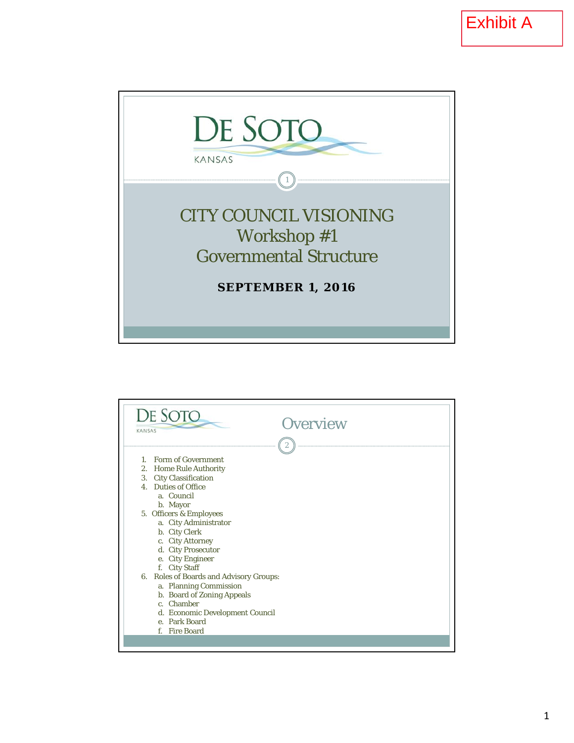

| KANSAS | DE SOTO<br><b>Overview</b>                                                                                                                                                                                                                                                                                                                                                                                                                           |
|--------|------------------------------------------------------------------------------------------------------------------------------------------------------------------------------------------------------------------------------------------------------------------------------------------------------------------------------------------------------------------------------------------------------------------------------------------------------|
|        | $\overline{2}$<br>1. Form of Government<br>2. Home Rule Authority<br>3. City Classification<br>4. Duties of Office<br>a. Council<br>b. Mayor<br>5. Officers & Employees<br>a. City Administrator<br>b. City Clerk<br>c. City Attorney<br>d. City Prosecutor<br>e. City Engineer<br>f. City Staff<br>6. Roles of Boards and Advisory Groups:<br>a. Planning Commission<br>b. Board of Zoning Appeals<br>c. Chamber<br>d. Economic Development Council |
|        | e. Park Board<br>f. Fire Board                                                                                                                                                                                                                                                                                                                                                                                                                       |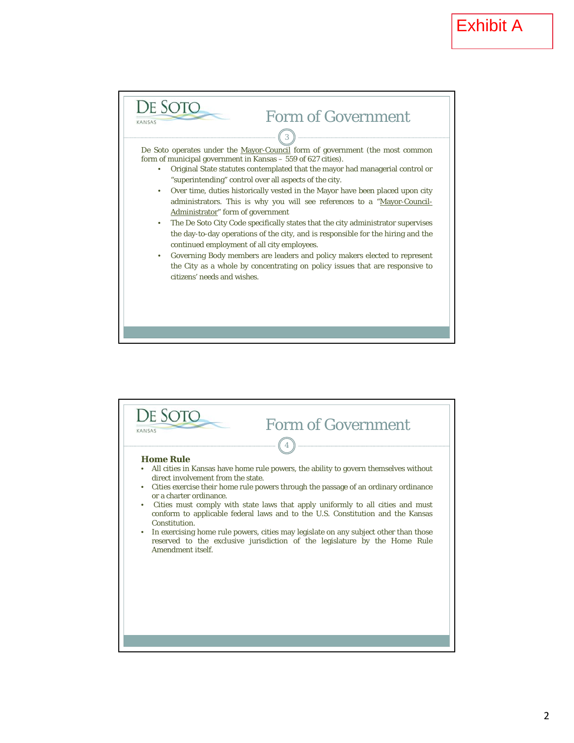

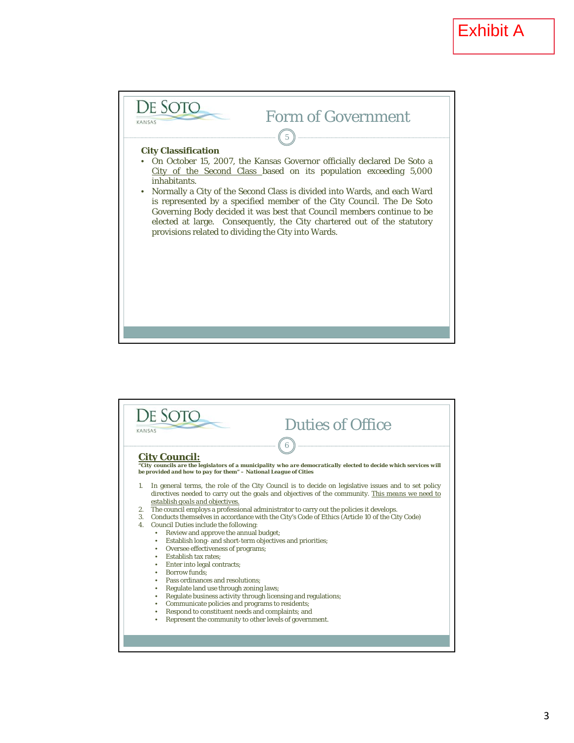

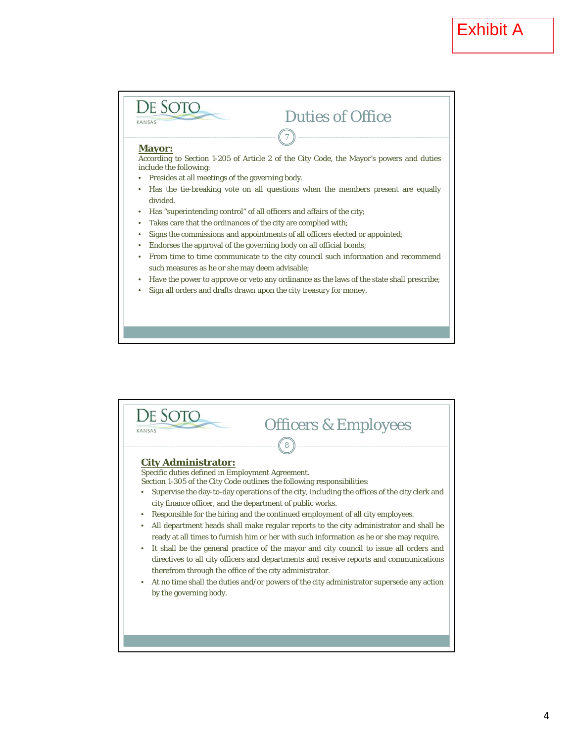

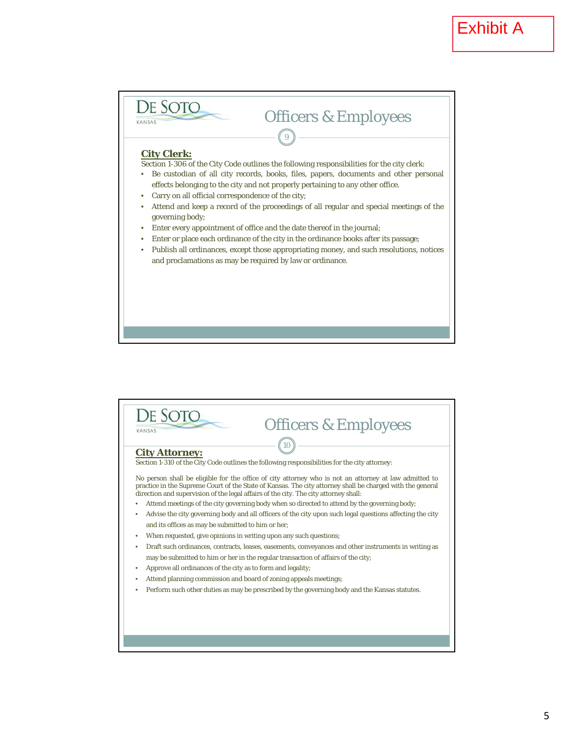

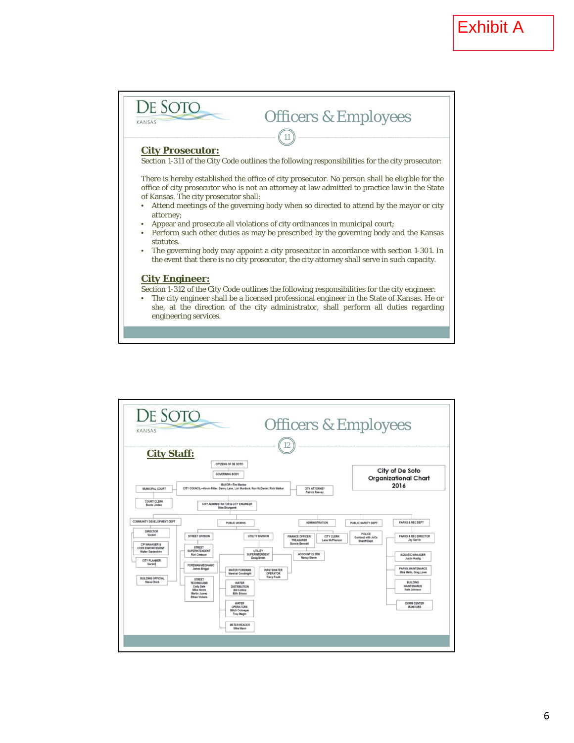

| <b>City Staff:</b>                                                                         |                                                                                                                |                                                                                                                                                           |                               | 12                                                                                                           |                              |                                               |                                                                                |
|--------------------------------------------------------------------------------------------|----------------------------------------------------------------------------------------------------------------|-----------------------------------------------------------------------------------------------------------------------------------------------------------|-------------------------------|--------------------------------------------------------------------------------------------------------------|------------------------------|-----------------------------------------------|--------------------------------------------------------------------------------|
| <b>MUNICIPAL COURT</b>                                                                     |                                                                                                                | CITIZENS OF DE SOTO<br><b>GOVERNING BODY</b><br><b>MAYOR-Tim Maniez</b><br>CITY COUNCIL-Kevin Ritter, Danny Lane, Lori Murdock, Ron McDaniel, Rick Walker |                               | CITY ATTORNEY<br><b>Patrick Reavey</b>                                                                       |                              |                                               | City of De Soto<br><b>Organizational Chart</b><br>2016                         |
| <b>COURT CLERK</b><br><b>Boots Linden</b>                                                  |                                                                                                                | CITY ADMINISTRATOR & CITY ENGINEER<br>Mike Brungardt                                                                                                      |                               |                                                                                                              |                              |                                               |                                                                                |
| COMMUNITY DEVELOPMENT DEPT                                                                 |                                                                                                                | <b>PUBLIC WORKS</b>                                                                                                                                       |                               |                                                                                                              | <b>ADMINISTRATION</b>        | <b>PUBLIC SAFETY DEPT</b>                     | <b>PARKS &amp; REC DEPT</b>                                                    |
| <b>DIRECTOR</b><br>Vacant<br>CIP MANAGER &<br>CODE ENFORCEMENT<br><b>Walter Gardenhire</b> | STREET DIVISION<br><b>STREET</b><br><b>SUPERINTENDENT</b><br>Ron Creason                                       | UTILITY DIVISION<br><b>UTILITY</b><br><b>SUPERINTENDENT</b>                                                                                               |                               | <b>FINANCE OFFICER/</b><br>TREASURER<br><b>Bonnie Bennett</b><br><b>ACCOUNT CLERK</b><br><b>Nancy Steele</b> | CITY CLERK<br>Lana McPherson | POLICE<br>Contract with JoCo<br>Sheriff Dept. | <b>PARKS &amp; REC DIRECTOR</b><br><b>Jay Garvin</b><br><b>AQUATIC MANAGER</b> |
| <b>CITY PLANNER</b><br>Vacant                                                              | <b>FOREMAN/MECHANIC</b><br>James Briggs                                                                        | Doug Smith<br><b>WATER FOREMAN</b><br><b>Marshal Goodnight</b>                                                                                            | <b>WASTEWATER</b><br>OPERATOR |                                                                                                              |                              |                                               | Justin Huslig<br><b>PARKS MAINTENANCE</b><br>Mike Mello, Greg Lowe             |
| <b>BUILDING OFFICIAL</b><br><b>Steve Chick</b>                                             | <b>STREET</b><br><b>TECHNICIANS</b><br>Cody Dale<br><b>Mike Henre</b><br>Martin Juarez<br><b>Ethan Vickers</b> | <b>WATER</b><br><b>DISTRIBUTION</b><br><b>Bill Collins</b><br><b>Billy Briggs</b>                                                                         | <b>Tracy Foulk</b>            |                                                                                                              |                              |                                               | <b>BUILDING</b><br><b>MAINTENANCE</b><br>Nate Johnson                          |
|                                                                                            |                                                                                                                | <b>WATER</b><br><b>OPERATORS</b><br><b>Mitch Ostmeyer</b><br><b>Troy Magin</b>                                                                            |                               |                                                                                                              |                              |                                               | <b>COMM CENTER</b><br><b>MONITORS</b>                                          |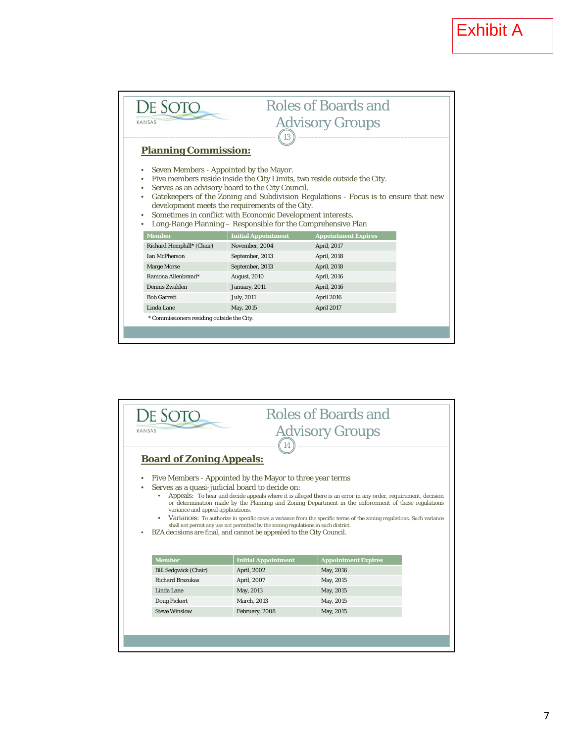| De Sot                                                                                                                                                                                                                                                                                                                                                                                                                                                            | <b>Roles of Boards and</b>  |                            |  |  |  |  |
|-------------------------------------------------------------------------------------------------------------------------------------------------------------------------------------------------------------------------------------------------------------------------------------------------------------------------------------------------------------------------------------------------------------------------------------------------------------------|-----------------------------|----------------------------|--|--|--|--|
| <b>Advisory Groups</b><br>KANSAS                                                                                                                                                                                                                                                                                                                                                                                                                                  |                             |                            |  |  |  |  |
|                                                                                                                                                                                                                                                                                                                                                                                                                                                                   | 13                          |                            |  |  |  |  |
|                                                                                                                                                                                                                                                                                                                                                                                                                                                                   | <b>Planning Commission:</b> |                            |  |  |  |  |
| Seven Members - Appointed by the Mayor.<br>Five members reside inside the City Limits, two reside outside the City.<br>$\bullet$<br>Serves as an advisory board to the City Council.<br>Gatekeepers of the Zoning and Subdivision Regulations - Focus is to ensure that new<br>development meets the requirements of the City.<br>Sometimes in conflict with Economic Development interests.<br>Long-Range Planning - Responsible for the Comprehensive Plan<br>٠ |                             |                            |  |  |  |  |
| <b>Member</b>                                                                                                                                                                                                                                                                                                                                                                                                                                                     | <b>Initial Appointment</b>  | <b>Appointment Expires</b> |  |  |  |  |
| Richard Hemphill* (Chair)                                                                                                                                                                                                                                                                                                                                                                                                                                         | November, 2004              | April, 2017                |  |  |  |  |
| <b>Ian McPherson</b>                                                                                                                                                                                                                                                                                                                                                                                                                                              | September, 2013             | April, 2018                |  |  |  |  |
| <b>Marge Morse</b>                                                                                                                                                                                                                                                                                                                                                                                                                                                | September, 2013             | April, 2018                |  |  |  |  |
| Ramona Allenbrand*                                                                                                                                                                                                                                                                                                                                                                                                                                                | August, 2010                | April, 2016                |  |  |  |  |
| Dennis Zwahlen                                                                                                                                                                                                                                                                                                                                                                                                                                                    | January, 2011               | April, 2016                |  |  |  |  |
| <b>Bob Garrett</b>                                                                                                                                                                                                                                                                                                                                                                                                                                                | <b>July</b> , 2011          | April 2016                 |  |  |  |  |
| Linda Lane                                                                                                                                                                                                                                                                                                                                                                                                                                                        | May, 2015                   | April 2017                 |  |  |  |  |
| * Commissioners residing outside the City.                                                                                                                                                                                                                                                                                                                                                                                                                        |                             |                            |  |  |  |  |
|                                                                                                                                                                                                                                                                                                                                                                                                                                                                   |                             |                            |  |  |  |  |
|                                                                                                                                                                                                                                                                                                                                                                                                                                                                   |                             |                            |  |  |  |  |

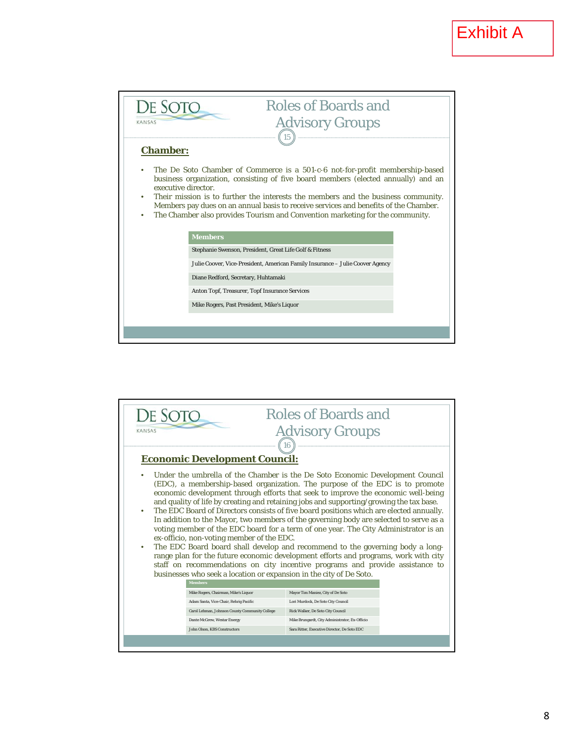

| DE SO <sup>®</sup><br>KANSAS                                                                                                                                                                                                                                                                                                                                                                                                                                                                                                                                                                                                                                                                                                                                                                                                                                                                                                                                                                           | <b>Roles of Boards and</b><br><b>Advisory Groups</b><br>$\left(16\right)$ |  |  |
|--------------------------------------------------------------------------------------------------------------------------------------------------------------------------------------------------------------------------------------------------------------------------------------------------------------------------------------------------------------------------------------------------------------------------------------------------------------------------------------------------------------------------------------------------------------------------------------------------------------------------------------------------------------------------------------------------------------------------------------------------------------------------------------------------------------------------------------------------------------------------------------------------------------------------------------------------------------------------------------------------------|---------------------------------------------------------------------------|--|--|
| <b>Economic Development Council:</b>                                                                                                                                                                                                                                                                                                                                                                                                                                                                                                                                                                                                                                                                                                                                                                                                                                                                                                                                                                   |                                                                           |  |  |
| Under the umbrella of the Chamber is the De Soto Economic Development Council<br>(EDC), a membership-based organization. The purpose of the EDC is to promote<br>economic development through efforts that seek to improve the economic well-being<br>and quality of life by creating and retaining jobs and supporting/growing the tax base.<br>The EDC Board of Directors consists of five board positions which are elected annually.<br>In addition to the Mayor, two members of the governing body are selected to serve as a<br>voting member of the EDC board for a term of one year. The City Administrator is an<br>ex-officio, non-voting member of the EDC.<br>The EDC Board board shall develop and recommend to the governing body a long-<br>range plan for the future economic development efforts and programs, work with city<br>staff on recommendations on city incentive programs and provide assistance to<br>businesses who seek a location or expansion in the city of De Soto. |                                                                           |  |  |
| <b>Members</b>                                                                                                                                                                                                                                                                                                                                                                                                                                                                                                                                                                                                                                                                                                                                                                                                                                                                                                                                                                                         |                                                                           |  |  |
| Mike Rogers, Chairman, Mike's Liquor                                                                                                                                                                                                                                                                                                                                                                                                                                                                                                                                                                                                                                                                                                                                                                                                                                                                                                                                                                   | Mayor Tim Maniez, City of De Soto                                         |  |  |
| Adam Santa, Vice-Chair, Rehrig Pacific                                                                                                                                                                                                                                                                                                                                                                                                                                                                                                                                                                                                                                                                                                                                                                                                                                                                                                                                                                 | Lori Murdock, De Soto City Council                                        |  |  |
| Carol Lehman, Johnson County Community College                                                                                                                                                                                                                                                                                                                                                                                                                                                                                                                                                                                                                                                                                                                                                                                                                                                                                                                                                         | Rick Walker, De Soto City Council                                         |  |  |
| Dante McGrew, Westar Energy                                                                                                                                                                                                                                                                                                                                                                                                                                                                                                                                                                                                                                                                                                                                                                                                                                                                                                                                                                            | Mike Brungardt, City Administrator, Ex-Officio                            |  |  |
| <b>John Olson, KBS Constructors</b>                                                                                                                                                                                                                                                                                                                                                                                                                                                                                                                                                                                                                                                                                                                                                                                                                                                                                                                                                                    | Sara Ritter, Executive Director, De Soto EDC                              |  |  |
|                                                                                                                                                                                                                                                                                                                                                                                                                                                                                                                                                                                                                                                                                                                                                                                                                                                                                                                                                                                                        |                                                                           |  |  |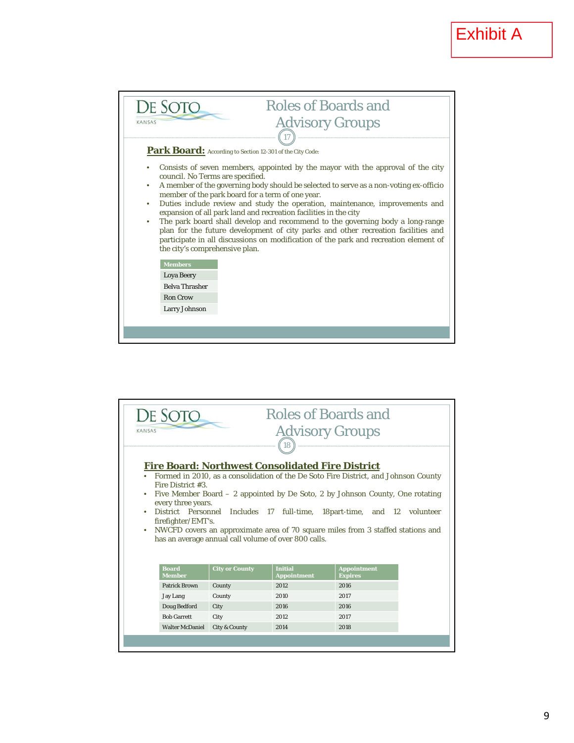

| DE SOTC<br>KANSAS                                                                                                        |                                                      | <b>Roles of Boards and</b><br><b>Advisory Groups</b>                                                                                                                                                                                                                                                                               |                                      |  |
|--------------------------------------------------------------------------------------------------------------------------|------------------------------------------------------|------------------------------------------------------------------------------------------------------------------------------------------------------------------------------------------------------------------------------------------------------------------------------------------------------------------------------------|--------------------------------------|--|
|                                                                                                                          |                                                      | (18)                                                                                                                                                                                                                                                                                                                               |                                      |  |
| <b>Fire Board: Northwest Consolidated Fire District</b><br>Fire District #3.<br>every three years.<br>firefighter/EMT's. | has an average annual call volume of over 800 calls. | Formed in 2010, as a consolidation of the De Soto Fire District, and Johnson County<br>Five Member Board - 2 appointed by De Soto, 2 by Johnson County, One rotating<br>District Personnel Includes 17 full-time, 18part-time, and 12 volunteer<br>NWCFD covers an approximate area of 70 square miles from 3 staffed stations and |                                      |  |
| <b>Board</b><br><b>Member</b>                                                                                            | <b>City or County</b>                                | <b>Initial</b><br><b>Appointment</b>                                                                                                                                                                                                                                                                                               | <b>Appointment</b><br><b>Expires</b> |  |
| <b>Patrick Brown</b>                                                                                                     | County                                               | 2012                                                                                                                                                                                                                                                                                                                               | 2016                                 |  |
| <b>Jay Lang</b>                                                                                                          | County                                               | 2010                                                                                                                                                                                                                                                                                                                               | 2017                                 |  |
| Doug Bedford                                                                                                             | City                                                 | 2016                                                                                                                                                                                                                                                                                                                               | 2016                                 |  |
| <b>Bob Garrett</b>                                                                                                       | City                                                 | 2012                                                                                                                                                                                                                                                                                                                               | 2017                                 |  |
| <b>Walter McDaniel</b>                                                                                                   | <b>City &amp; County</b>                             | 2014                                                                                                                                                                                                                                                                                                                               | 2018                                 |  |
|                                                                                                                          |                                                      |                                                                                                                                                                                                                                                                                                                                    |                                      |  |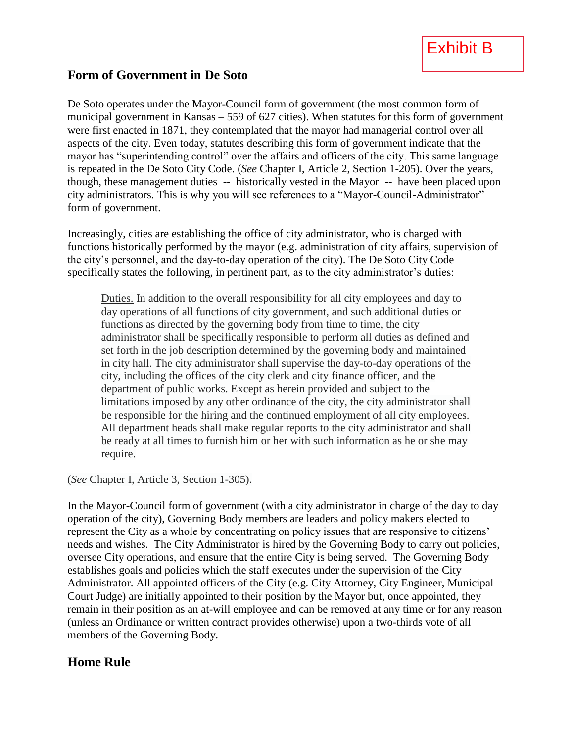

#### **Form of Government in De Soto**

De Soto operates under the Mayor-Council form of government (the most common form of municipal government in Kansas – 559 of 627 cities). When statutes for this form of government were first enacted in 1871, they contemplated that the mayor had managerial control over all aspects of the city. Even today, statutes describing this form of government indicate that the mayor has "superintending control" over the affairs and officers of the city. This same language is repeated in the De Soto City Code. (*See* Chapter I, Article 2, Section 1-205). Over the years, though, these management duties -- historically vested in the Mayor -- have been placed upon city administrators. This is why you will see references to a "Mayor-Council-Administrator" form of government.

Increasingly, cities are establishing the office of city administrator, who is charged with functions historically performed by the mayor (e.g. administration of city affairs, supervision of the city's personnel, and the day-to-day operation of the city). The De Soto City Code specifically states the following, in pertinent part, as to the city administrator's duties:

Duties. In addition to the overall responsibility for all city employees and day to day operations of all functions of city government, and such additional duties or functions as directed by the governing body from time to time, the city administrator shall be specifically responsible to perform all duties as defined and set forth in the job description determined by the governing body and maintained in city hall. The city administrator shall supervise the day-to-day operations of the city, including the offices of the city clerk and city finance officer, and the department of public works. Except as herein provided and subject to the limitations imposed by any other ordinance of the city, the city administrator shall be responsible for the hiring and the continued employment of all city employees. All department heads shall make regular reports to the city administrator and shall be ready at all times to furnish him or her with such information as he or she may require.

(*See* Chapter I, Article 3, Section 1-305).

In the Mayor-Council form of government (with a city administrator in charge of the day to day operation of the city), Governing Body members are leaders and policy makers elected to represent the City as a whole by concentrating on policy issues that are responsive to citizens' needs and wishes. The City Administrator is hired by the Governing Body to carry out policies, oversee City operations, and ensure that the entire City is being served. The Governing Body establishes goals and policies which the staff executes under the supervision of the City Administrator. All appointed officers of the City (e.g. City Attorney, City Engineer, Municipal Court Judge) are initially appointed to their position by the Mayor but, once appointed, they remain in their position as an at-will employee and can be removed at any time or for any reason (unless an Ordinance or written contract provides otherwise) upon a two-thirds vote of all members of the Governing Body.

#### **Home Rule**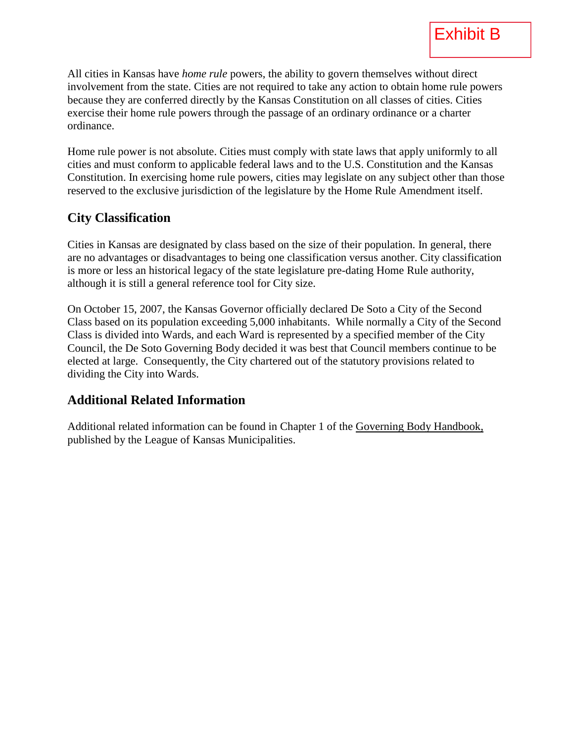All cities in Kansas have *home rule* powers, the ability to govern themselves without direct involvement from the state. Cities are not required to take any action to obtain home rule powers because they are conferred directly by the Kansas Constitution on all classes of cities. Cities exercise their home rule powers through the passage of an ordinary ordinance or a charter ordinance.

Home rule power is not absolute. Cities must comply with state laws that apply uniformly to all cities and must conform to applicable federal laws and to the U.S. Constitution and the Kansas Constitution. In exercising home rule powers, cities may legislate on any subject other than those reserved to the exclusive jurisdiction of the legislature by the Home Rule Amendment itself.

#### **City Classification**

Cities in Kansas are designated by class based on the size of their population. In general, there are no advantages or disadvantages to being one classification versus another. City classification is more or less an historical legacy of the state legislature pre-dating Home Rule authority, although it is still a general reference tool for City size.

On October 15, 2007, the Kansas Governor officially declared De Soto a City of the Second Class based on its population exceeding 5,000 inhabitants. While normally a City of the Second Class is divided into Wards, and each Ward is represented by a specified member of the City Council, the De Soto Governing Body decided it was best that Council members continue to be elected at large. Consequently, the City chartered out of the statutory provisions related to dividing the City into Wards.

#### **Additional Related Information**

Additional related information can be found in Chapter 1 of the Governing Body Handbook, published by the League of Kansas Municipalities.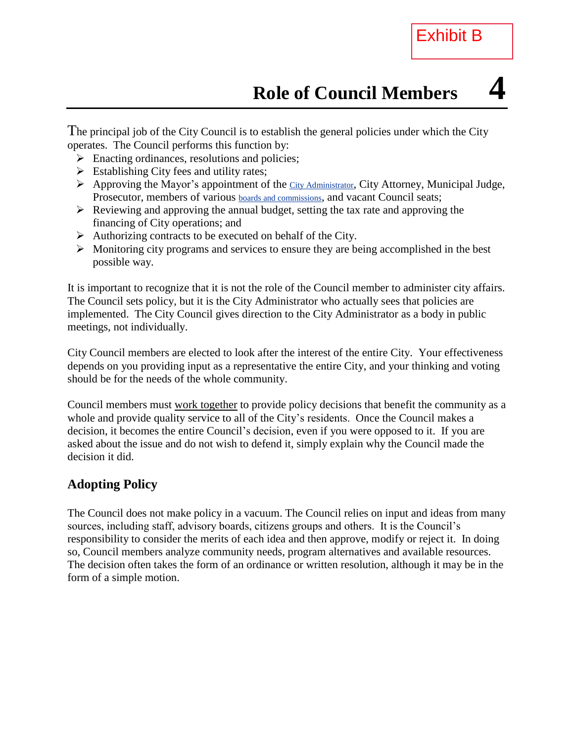The principal job of the City Council is to establish the general policies under which the City operates. The Council performs this function by:

- $\triangleright$  Enacting ordinances, resolutions and policies;
- $\triangleright$  Establishing City fees and utility rates;
- $\triangleright$  Approving the Mayor's appointment of the [City Administrator](http://www.charmeck.org/Departments/City+Manager/), City Attorney, Municipal Judge, Prosecutor, members of various **boards** and commissions, and vacant Council seats;
- $\triangleright$  Reviewing and approving the annual budget, setting the tax rate and approving the financing of City operations; and
- $\triangleright$  Authorizing contracts to be executed on behalf of the City.
- $\triangleright$  Monitoring city programs and services to ensure they are being accomplished in the best possible way.

It is important to recognize that it is not the role of the Council member to administer city affairs. The Council sets policy, but it is the City Administrator who actually sees that policies are implemented. The City Council gives direction to the City Administrator as a body in public meetings, not individually.

City Council members are elected to look after the interest of the entire City. Your effectiveness depends on you providing input as a representative the entire City, and your thinking and voting should be for the needs of the whole community.

Council members must work together to provide policy decisions that benefit the community as a whole and provide quality service to all of the City's residents. Once the Council makes a decision, it becomes the entire Council's decision, even if you were opposed to it. If you are asked about the issue and do not wish to defend it, simply explain why the Council made the decision it did.

#### **Adopting Policy**

The Council does not make policy in a vacuum. The Council relies on input and ideas from many sources, including staff, advisory boards, citizens groups and others. It is the Council's responsibility to consider the merits of each idea and then approve, modify or reject it. In doing so, Council members analyze community needs, program alternatives and available resources. The decision often takes the form of an ordinance or written resolution, although it may be in the form of a simple motion.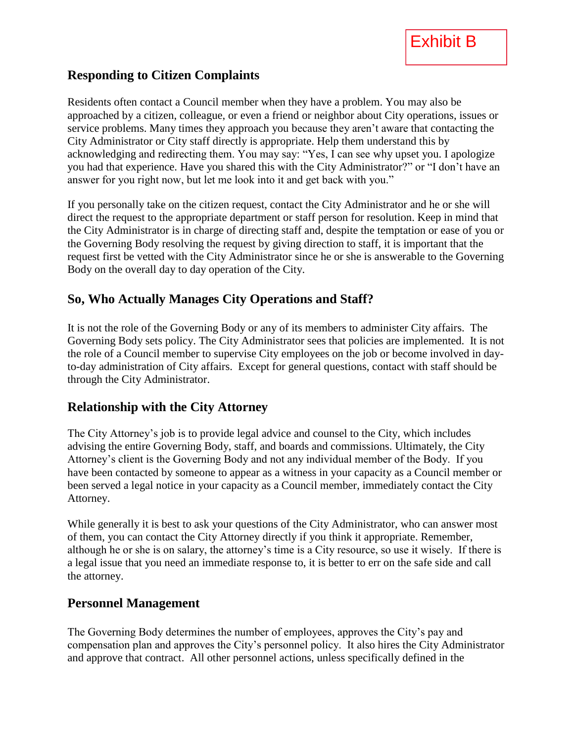#### **Responding to Citizen Complaints**

Residents often contact a Council member when they have a problem. You may also be approached by a citizen, colleague, or even a friend or neighbor about City operations, issues or service problems. Many times they approach you because they aren't aware that contacting the City Administrator or City staff directly is appropriate. Help them understand this by acknowledging and redirecting them. You may say: "Yes, I can see why upset you. I apologize you had that experience. Have you shared this with the City Administrator?" or "I don't have an answer for you right now, but let me look into it and get back with you."

If you personally take on the citizen request, contact the City Administrator and he or she will direct the request to the appropriate department or staff person for resolution. Keep in mind that the City Administrator is in charge of directing staff and, despite the temptation or ease of you or the Governing Body resolving the request by giving direction to staff, it is important that the request first be vetted with the City Administrator since he or she is answerable to the Governing Body on the overall day to day operation of the City.

#### **So, Who Actually Manages City Operations and Staff?**

It is not the role of the Governing Body or any of its members to administer City affairs. The Governing Body sets policy. The City Administrator sees that policies are implemented. It is not the role of a Council member to supervise City employees on the job or become involved in dayto-day administration of City affairs. Except for general questions, contact with staff should be through the City Administrator.

#### **Relationship with the City Attorney**

The City Attorney's job is to provide legal advice and counsel to the City, which includes advising the entire Governing Body, staff, and boards and commissions. Ultimately, the City Attorney's client is the Governing Body and not any individual member of the Body. If you have been contacted by someone to appear as a witness in your capacity as a Council member or been served a legal notice in your capacity as a Council member, immediately contact the City Attorney.

While generally it is best to ask your questions of the City Administrator, who can answer most of them, you can contact the City Attorney directly if you think it appropriate. Remember, although he or she is on salary, the attorney's time is a City resource, so use it wisely. If there is a legal issue that you need an immediate response to, it is better to err on the safe side and call the attorney.

#### **Personnel Management**

The Governing Body determines the number of employees, approves the City's pay and compensation plan and approves the City's personnel policy. It also hires the City Administrator and approve that contract. All other personnel actions, unless specifically defined in the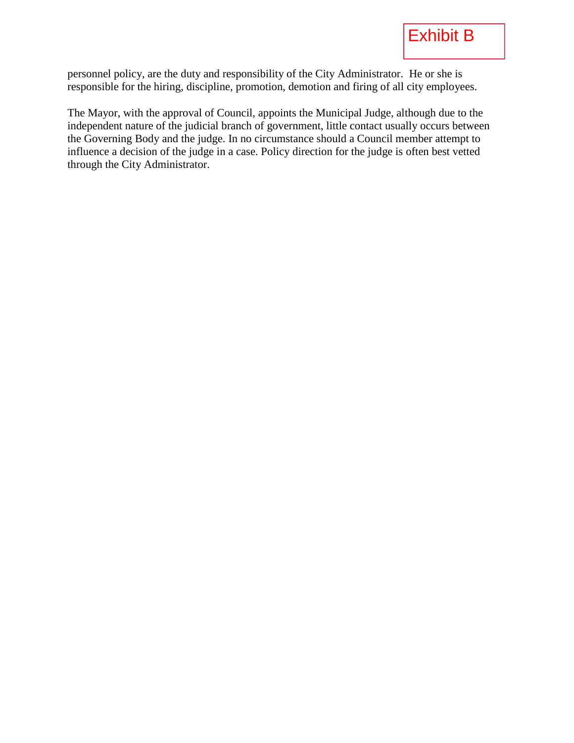personnel policy, are the duty and responsibility of the City Administrator. He or she is responsible for the hiring, discipline, promotion, demotion and firing of all city employees.

The Mayor, with the approval of Council, appoints the Municipal Judge, although due to the independent nature of the judicial branch of government, little contact usually occurs between the Governing Body and the judge. In no circumstance should a Council member attempt to influence a decision of the judge in a case. Policy direction for the judge is often best vetted through the City Administrator.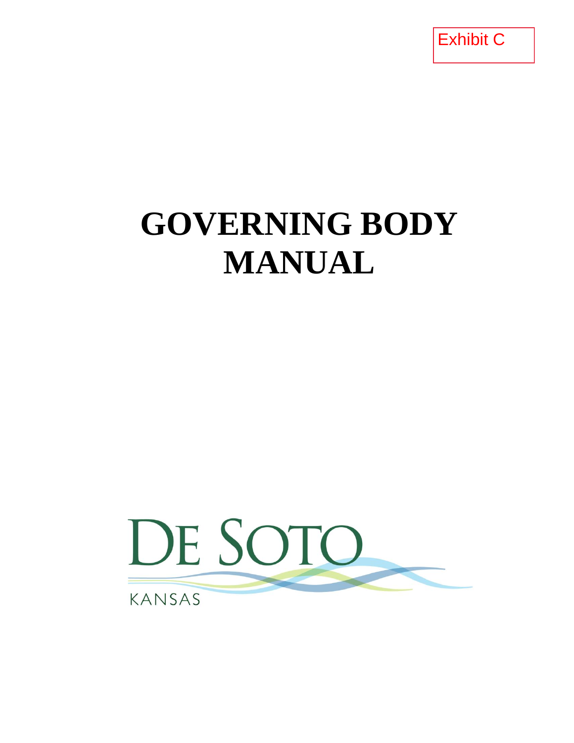Exhibit C

# **GOVERNING BODY MANUAL**

# DE SOTO KANSAS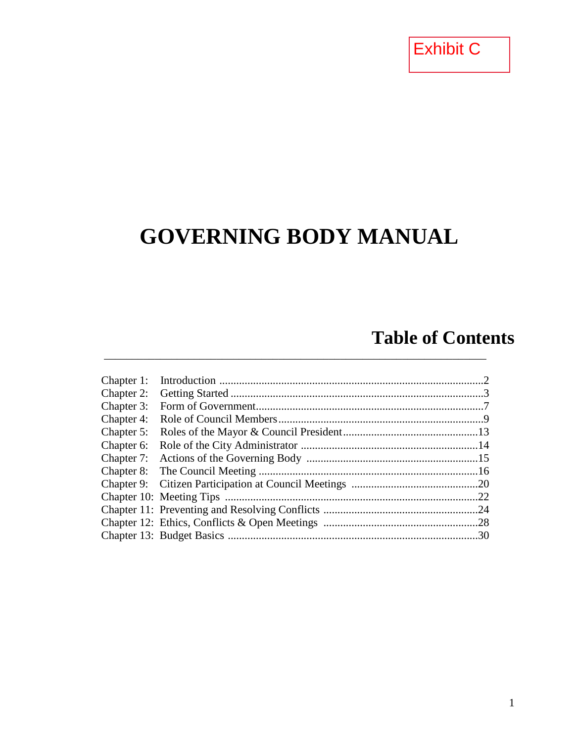Exhibit C

### **GOVERNING BODY MANUAL**

### **Table of Contents**

| Chapter 1: |     |
|------------|-----|
| Chapter 2: |     |
| Chapter 3: |     |
| Chapter 4: |     |
| Chapter 5: |     |
| Chapter 6: |     |
| Chapter 7: |     |
|            |     |
|            |     |
|            |     |
|            | .24 |
|            |     |
|            |     |
|            |     |

\_\_\_\_\_\_\_\_\_\_\_\_\_\_\_\_\_\_\_\_\_\_\_\_\_\_\_\_\_\_\_\_\_\_\_\_\_\_\_\_\_\_\_\_\_\_\_\_\_\_\_\_\_\_\_\_\_\_\_\_\_\_\_\_\_\_\_\_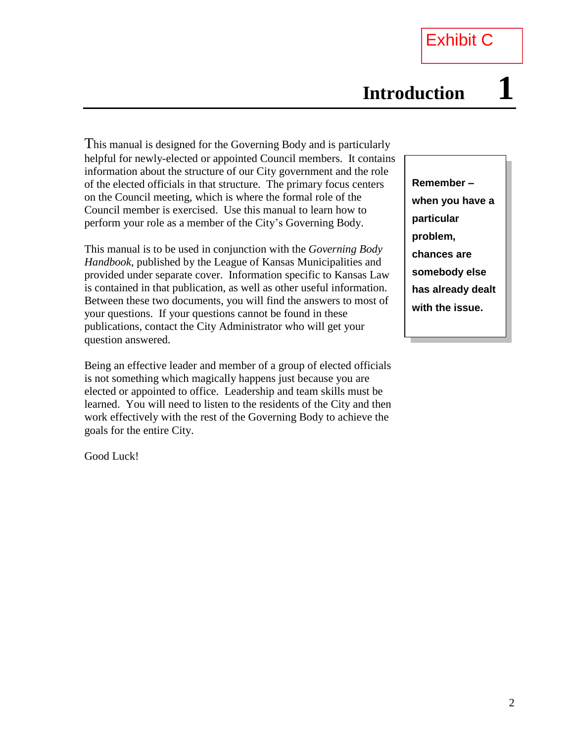This manual is designed for the Governing Body and is particularly helpful for newly-elected or appointed Council members. It contains information about the structure of our City government and the role of the elected officials in that structure. The primary focus centers on the Council meeting, which is where the formal role of the Council member is exercised. Use this manual to learn how to perform your role as a member of the City's Governing Body.

This manual is to be used in conjunction with the *Governing Body Handbook*, published by the League of Kansas Municipalities and provided under separate cover. Information specific to Kansas Law is contained in that publication, as well as other useful information. Between these two documents, you will find the answers to most of your questions. If your questions cannot be found in these publications, contact the City Administrator who will get your question answered.

Being an effective leader and member of a group of elected officials is not something which magically happens just because you are elected or appointed to office. Leadership and team skills must be learned. You will need to listen to the residents of the City and then work effectively with the rest of the Governing Body to achieve the goals for the entire City.

Good Luck!

**Remember – when you have a particular problem, chances are somebody else has already dealt with the issue.**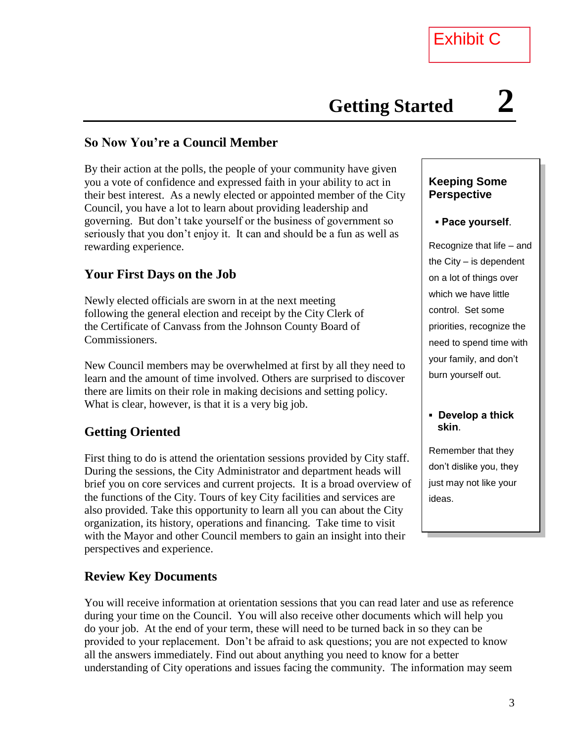#### **So Now You're a Council Member**

By their action at the polls, the people of your community have given you a vote of confidence and expressed faith in your ability to act in their best interest. As a newly elected or appointed member of the City Council, you have a lot to learn about providing leadership and governing. But don't take yourself or the business of government so seriously that you don't enjoy it. It can and should be a fun as well as rewarding experience.

#### **Your First Days on the Job**

Newly elected officials are sworn in at the next meeting following the general election and receipt by the City Clerk of the Certificate of Canvass from the Johnson County Board of Commissioners.

New Council members may be overwhelmed at first by all they need to learn and the amount of time involved. Others are surprised to discover there are limits on their role in making decisions and setting policy. What is clear, however, is that it is a very big job.

#### **Getting Oriented**

First thing to do is attend the orientation sessions provided by City staff. During the sessions, the City Administrator and department heads will brief you on core services and current projects. It is a broad overview of the functions of the City. Tours of key City facilities and services are also provided. Take this opportunity to learn all you can about the City organization, its history, operations and financing. Take time to visit with the Mayor and other Council members to gain an insight into their perspectives and experience.

#### **Review Key Documents**

You will receive information at orientation sessions that you can read later and use as reference during your time on the Council. You will also receive other documents which will help you do your job. At the end of your term, these will need to be turned back in so they can be provided to your replacement. Don't be afraid to ask questions; you are not expected to know all the answers immediately. Find out about anything you need to know for a better understanding of City operations and issues facing the community. The information may seem

#### **Keeping Some Perspective**

#### **▪ Pace yourself**.

Recognize that life – and the City – is dependent on a lot of things over which we have little control. Set some priorities, recognize the need to spend time with your family, and don't burn yourself out.

#### **▪ Develop a thick skin**.

Remember that they don't dislike you, they just may not like your ideas.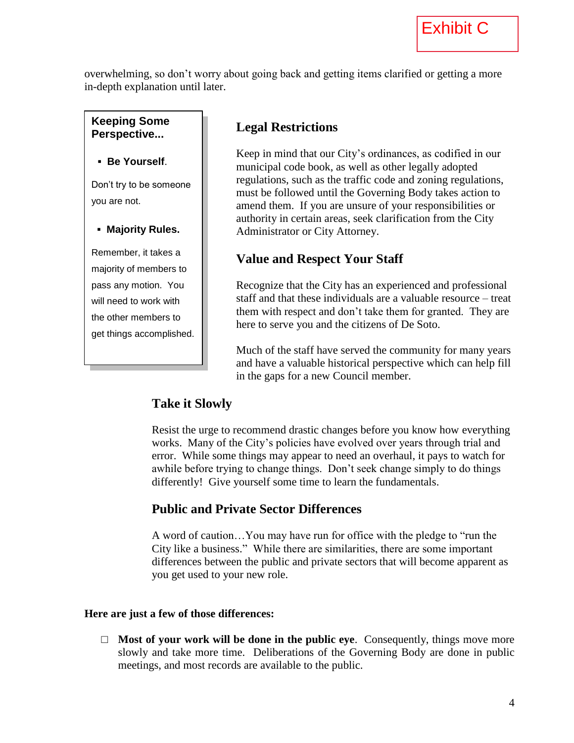overwhelming, so don't worry about going back and getting items clarified or getting a more in-depth explanation until later.

**Keeping Some Perspective...**

**▪ Be Yourself**.

Don't try to be someone you are not.

**▪ Majority Rules.**

Remember, it takes a majority of members to pass any motion. You will need to work with the other members to get things accomplished.

#### **Legal Restrictions**

Keep in mind that our City's ordinances, as codified in our municipal code book, as well as other legally adopted regulations, such as the traffic code and zoning regulations, must be followed until the Governing Body takes action to amend them. If you are unsure of your responsibilities or authority in certain areas, seek clarification from the City Administrator or City Attorney.

#### **Value and Respect Your Staff**

Recognize that the City has an experienced and professional staff and that these individuals are a valuable resource – treat them with respect and don't take them for granted. They are here to serve you and the citizens of De Soto.

Much of the staff have served the community for many years and have a valuable historical perspective which can help fill in the gaps for a new Council member.

#### **Take it Slowly**

Resist the urge to recommend drastic changes before you know how everything works. Many of the City's policies have evolved over years through trial and error. While some things may appear to need an overhaul, it pays to watch for awhile before trying to change things. Don't seek change simply to do things differently! Give yourself some time to learn the fundamentals.

#### **Public and Private Sector Differences**

A word of caution…You may have run for office with the pledge to "run the City like a business." While there are similarities, there are some important differences between the public and private sectors that will become apparent as you get used to your new role.

#### **Here are just a few of those differences:**

□ **Most of your work will be done in the public eye.** Consequently, things move more slowly and take more time. Deliberations of the Governing Body are done in public meetings, and most records are available to the public.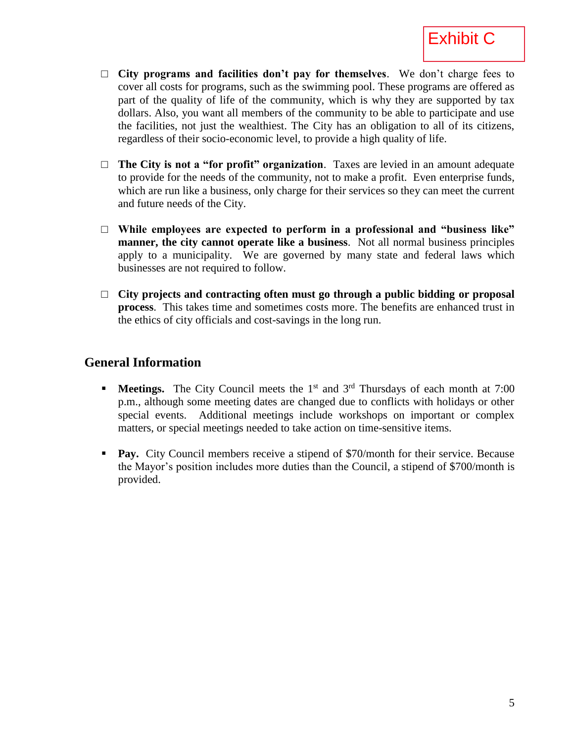

- □ **City programs and facilities don't pay for themselves**. We don't charge fees to cover all costs for programs, such as the swimming pool. These programs are offered as part of the quality of life of the community, which is why they are supported by tax dollars. Also, you want all members of the community to be able to participate and use the facilities, not just the wealthiest. The City has an obligation to all of its citizens, regardless of their socio-economic level, to provide a high quality of life.
- □ **The City is not a "for profit" organization**. Taxes are levied in an amount adequate to provide for the needs of the community, not to make a profit. Even enterprise funds, which are run like a business, only charge for their services so they can meet the current and future needs of the City.
- □ **While employees are expected to perform in a professional and "business like" manner, the city cannot operate like a business**. Not all normal business principles apply to a municipality. We are governed by many state and federal laws which businesses are not required to follow.
- □ **City projects and contracting often must go through a public bidding or proposal process**. This takes time and sometimes costs more. The benefits are enhanced trust in the ethics of city officials and cost-savings in the long run.

#### **General Information**

- **Meetings.** The City Council meets the 1<sup>st</sup> and 3<sup>rd</sup> Thursdays of each month at 7:00 p.m., although some meeting dates are changed due to conflicts with holidays or other special events. Additional meetings include workshops on important or complex matters, or special meetings needed to take action on time-sensitive items.
- **Pay.** City Council members receive a stipend of \$70/month for their service. Because the Mayor's position includes more duties than the Council, a stipend of \$700/month is provided.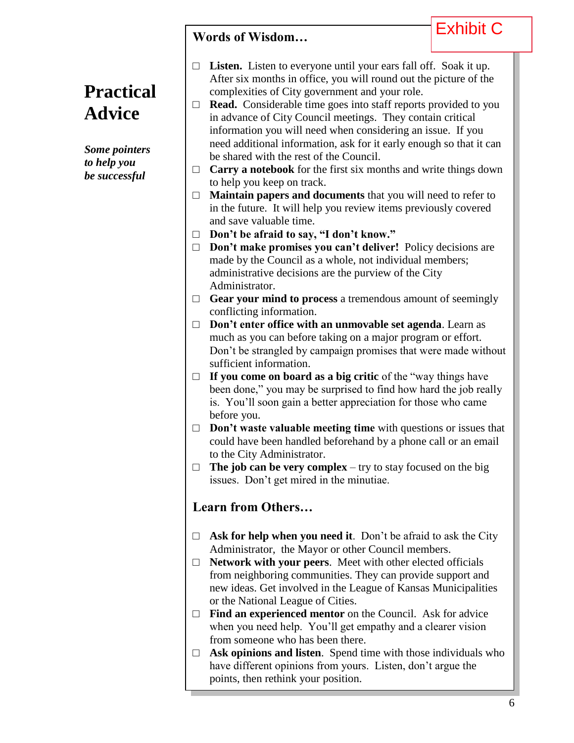### **Words of Wisdom…**

### Exhibit C

**Practical Advice**

*Some pointers to help you be successful*

- □ Listen. Listen to everyone until your ears fall off. Soak it up. After six months in office, you will round out the picture of the complexities of City government and your role.
- $\Box$  **Read.** Considerable time goes into staff reports provided to you in advance of City Council meetings. They contain critical information you will need when considering an issue. If you need additional information, ask for it early enough so that it can be shared with the rest of the Council.
- $\Box$  **Carry a notebook** for the first six months and write things down to help you keep on track.
- □ **Maintain papers and documents** that you will need to refer to in the future. It will help you review items previously covered and save valuable time.
- □ **Don't be afraid to say, "I don't know."**
- □ **Don't make promises you can't deliver!** Policy decisions are made by the Council as a whole, not individual members; administrative decisions are the purview of the City Administrator.
- □ **Gear your mind to process** a tremendous amount of seemingly conflicting information.
- □ **Don't enter office with an unmovable set agenda**. Learn as much as you can before taking on a major program or effort. Don't be strangled by campaign promises that were made without sufficient information.
- □ **If you come on board as a big critic** of the "way things have been done," you may be surprised to find how hard the job really is. You'll soon gain a better appreciation for those who came before you.
- □ **Don't waste valuable meeting time** with questions or issues that could have been handled beforehand by a phone call or an email to the City Administrator.
- $\Box$  **The job can be very complex** try to stay focused on the big issues. Don't get mired in the minutiae.

#### **Learn from Others…**

- $\Box$  **Ask for help when you need it**. Don't be afraid to ask the City Administrator, the Mayor or other Council members.
- □ **Network with your peers**. Meet with other elected officials from neighboring communities. They can provide support and new ideas. Get involved in the League of Kansas Municipalities or the National League of Cities.
- □ **Find an experienced mentor** on the Council. Ask for advice when you need help. You'll get empathy and a clearer vision from someone who has been there.
- □ **Ask opinions and listen**. Spend time with those individuals who have different opinions from yours. Listen, don't argue the points, then rethink your position.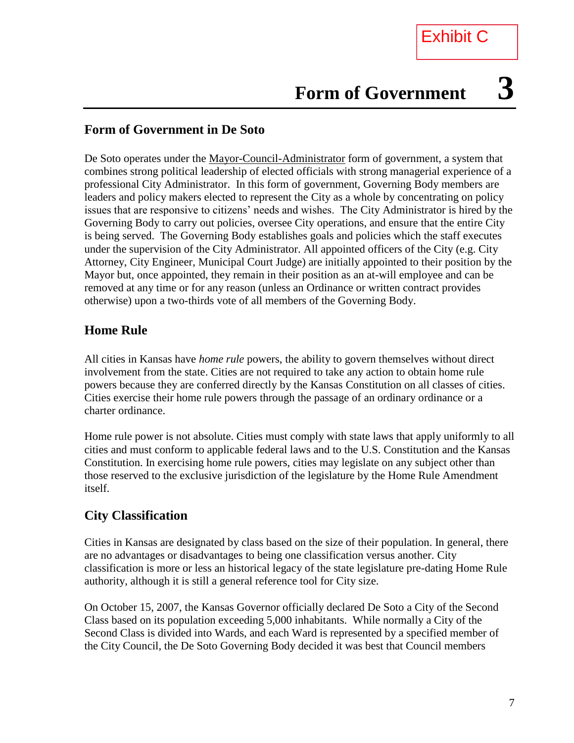# **Form of Government 3**

#### **Form of Government in De Soto**

De Soto operates under the Mayor-Council-Administrator form of government, a system that combines strong political leadership of elected officials with strong managerial experience of a professional City Administrator. In this form of government, Governing Body members are leaders and policy makers elected to represent the City as a whole by concentrating on policy issues that are responsive to citizens' needs and wishes. The City Administrator is hired by the Governing Body to carry out policies, oversee City operations, and ensure that the entire City is being served. The Governing Body establishes goals and policies which the staff executes under the supervision of the City Administrator. All appointed officers of the City (e.g. City Attorney, City Engineer, Municipal Court Judge) are initially appointed to their position by the Mayor but, once appointed, they remain in their position as an at-will employee and can be removed at any time or for any reason (unless an Ordinance or written contract provides otherwise) upon a two-thirds vote of all members of the Governing Body.

#### **Home Rule**

All cities in Kansas have *home rule* powers, the ability to govern themselves without direct involvement from the state. Cities are not required to take any action to obtain home rule powers because they are conferred directly by the Kansas Constitution on all classes of cities. Cities exercise their home rule powers through the passage of an ordinary ordinance or a charter ordinance.

Home rule power is not absolute. Cities must comply with state laws that apply uniformly to all cities and must conform to applicable federal laws and to the U.S. Constitution and the Kansas Constitution. In exercising home rule powers, cities may legislate on any subject other than those reserved to the exclusive jurisdiction of the legislature by the Home Rule Amendment itself.

#### **City Classification**

Cities in Kansas are designated by class based on the size of their population. In general, there are no advantages or disadvantages to being one classification versus another. City classification is more or less an historical legacy of the state legislature pre-dating Home Rule authority, although it is still a general reference tool for City size.

On October 15, 2007, the Kansas Governor officially declared De Soto a City of the Second Class based on its population exceeding 5,000 inhabitants. While normally a City of the Second Class is divided into Wards, and each Ward is represented by a specified member of the City Council, the De Soto Governing Body decided it was best that Council members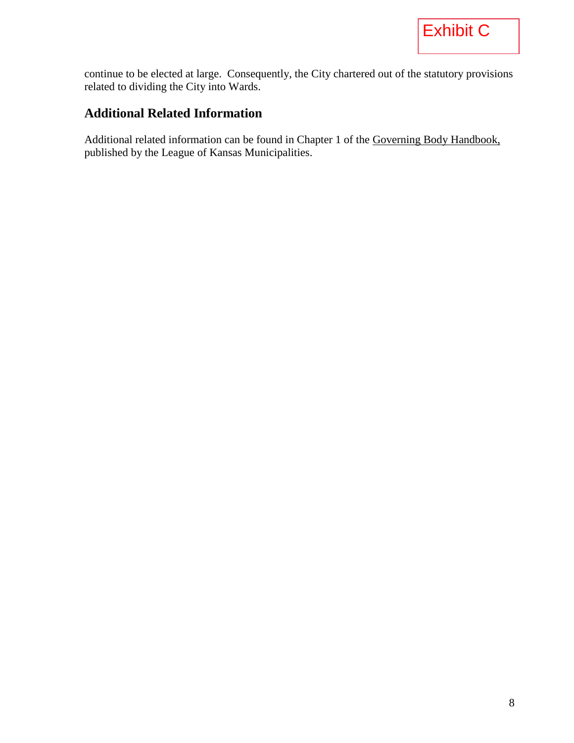continue to be elected at large. Consequently, the City chartered out of the statutory provisions related to dividing the City into Wards.

#### **Additional Related Information**

Additional related information can be found in Chapter 1 of the Governing Body Handbook, published by the League of Kansas Municipalities.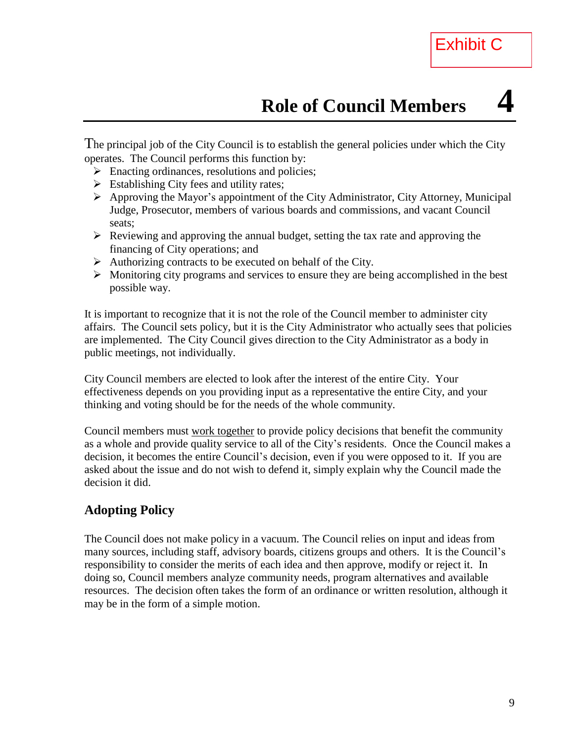The principal job of the City Council is to establish the general policies under which the City operates. The Council performs this function by:

- $\triangleright$  Enacting ordinances, resolutions and policies;
- $\triangleright$  Establishing City fees and utility rates;
- Approving the Mayor's appointment of the City [Administrator,](http://www.charmeck.org/Departments/City+Manager/) City Attorney, Municipal Judge, Prosecutor, members of various [boards and commissions,](http://www.charmeck.org/Departments/City+Clerk/Boards+and+Commissions/) and vacant Council seats;
- $\triangleright$  Reviewing and approving the annual budget, setting the tax rate and approving the financing of City operations; and
- $\triangleright$  Authorizing contracts to be executed on behalf of the City.
- $\triangleright$  Monitoring city programs and services to ensure they are being accomplished in the best possible way.

It is important to recognize that it is not the role of the Council member to administer city affairs. The Council sets policy, but it is the City Administrator who actually sees that policies are implemented. The City Council gives direction to the City Administrator as a body in public meetings, not individually.

City Council members are elected to look after the interest of the entire City. Your effectiveness depends on you providing input as a representative the entire City, and your thinking and voting should be for the needs of the whole community.

Council members must work together to provide policy decisions that benefit the community as a whole and provide quality service to all of the City's residents. Once the Council makes a decision, it becomes the entire Council's decision, even if you were opposed to it. If you are asked about the issue and do not wish to defend it, simply explain why the Council made the decision it did.

#### **Adopting Policy**

The Council does not make policy in a vacuum. The Council relies on input and ideas from many sources, including staff, advisory boards, citizens groups and others. It is the Council's responsibility to consider the merits of each idea and then approve, modify or reject it. In doing so, Council members analyze community needs, program alternatives and available resources. The decision often takes the form of an ordinance or written resolution, although it may be in the form of a simple motion.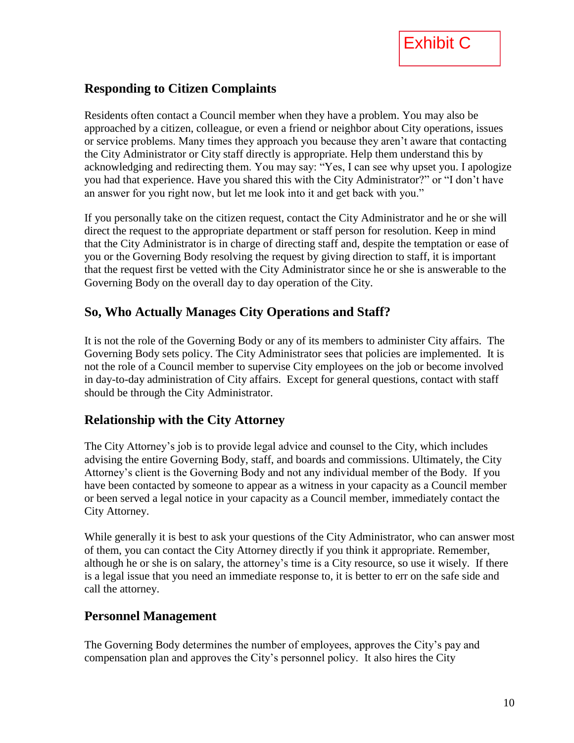

#### **Responding to Citizen Complaints**

Residents often contact a Council member when they have a problem. You may also be approached by a citizen, colleague, or even a friend or neighbor about City operations, issues or service problems. Many times they approach you because they aren't aware that contacting the City Administrator or City staff directly is appropriate. Help them understand this by acknowledging and redirecting them. You may say: "Yes, I can see why upset you. I apologize you had that experience. Have you shared this with the City Administrator?" or "I don't have an answer for you right now, but let me look into it and get back with you."

If you personally take on the citizen request, contact the City Administrator and he or she will direct the request to the appropriate department or staff person for resolution. Keep in mind that the City Administrator is in charge of directing staff and, despite the temptation or ease of you or the Governing Body resolving the request by giving direction to staff, it is important that the request first be vetted with the City Administrator since he or she is answerable to the Governing Body on the overall day to day operation of the City.

#### **So, Who Actually Manages City Operations and Staff?**

It is not the role of the Governing Body or any of its members to administer City affairs. The Governing Body sets policy. The City Administrator sees that policies are implemented. It is not the role of a Council member to supervise City employees on the job or become involved in day-to-day administration of City affairs. Except for general questions, contact with staff should be through the City Administrator.

#### **Relationship with the City Attorney**

The City Attorney's job is to provide legal advice and counsel to the City, which includes advising the entire Governing Body, staff, and boards and commissions. Ultimately, the City Attorney's client is the Governing Body and not any individual member of the Body. If you have been contacted by someone to appear as a witness in your capacity as a Council member or been served a legal notice in your capacity as a Council member, immediately contact the City Attorney.

While generally it is best to ask your questions of the City Administrator, who can answer most of them, you can contact the City Attorney directly if you think it appropriate. Remember, although he or she is on salary, the attorney's time is a City resource, so use it wisely. If there is a legal issue that you need an immediate response to, it is better to err on the safe side and call the attorney.

#### **Personnel Management**

The Governing Body determines the number of employees, approves the City's pay and compensation plan and approves the City's personnel policy. It also hires the City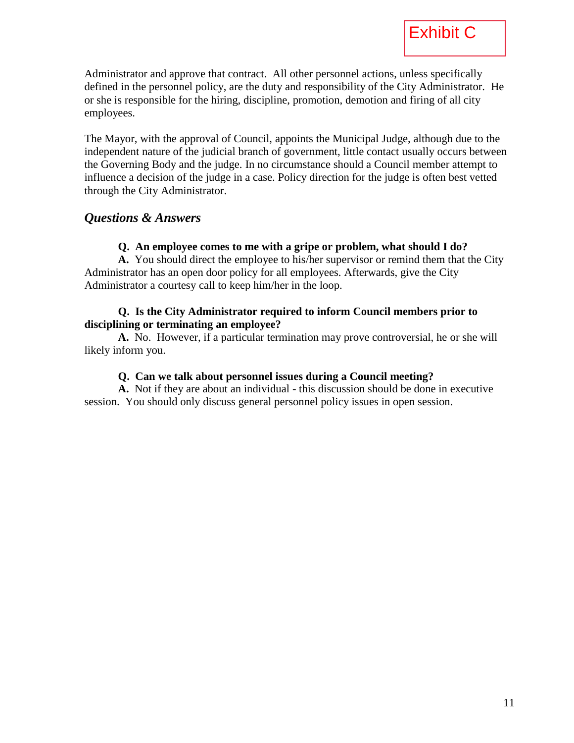Administrator and approve that contract. All other personnel actions, unless specifically defined in the personnel policy, are the duty and responsibility of the City Administrator. He or she is responsible for the hiring, discipline, promotion, demotion and firing of all city employees.

The Mayor, with the approval of Council, appoints the Municipal Judge, although due to the independent nature of the judicial branch of government, little contact usually occurs between the Governing Body and the judge. In no circumstance should a Council member attempt to influence a decision of the judge in a case. Policy direction for the judge is often best vetted through the City Administrator.

#### *Questions & Answers*

#### **Q. An employee comes to me with a gripe or problem, what should I do?**

**A.** You should direct the employee to his/her supervisor or remind them that the City Administrator has an open door policy for all employees. Afterwards, give the City Administrator a courtesy call to keep him/her in the loop.

#### **Q. Is the City Administrator required to inform Council members prior to disciplining or terminating an employee?**

**A.** No. However, if a particular termination may prove controversial, he or she will likely inform you.

#### **Q. Can we talk about personnel issues during a Council meeting?**

**A.** Not if they are about an individual - this discussion should be done in executive session. You should only discuss general personnel policy issues in open session.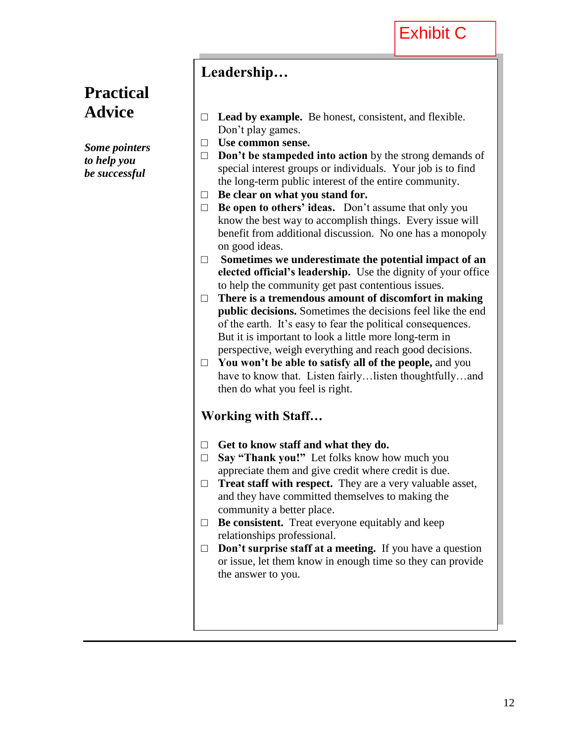### **Practical Advice**

*Some pointers to help you be successful*

### **Leadership…**

- □ **Lead by example.** Be honest, consistent, and flexible. Don't play games.
- □ **Use common sense.**
- □ **Don't be stampeded into action** by the strong demands of special interest groups or individuals. Your job is to find the long-term public interest of the entire community.
- □ **Be clear on what you stand for.**
- □ **Be open to others' ideas.** Don't assume that only you know the best way to accomplish things. Every issue will benefit from additional discussion. No one has a monopoly on good ideas.
- □ **Sometimes we underestimate the potential impact of an elected official's leadership.** Use the dignity of your office to help the community get past contentious issues.
- □ **There is a tremendous amount of discomfort in making public decisions.** Sometimes the decisions feel like the end of the earth. It's easy to fear the political consequences. But it is important to look a little more long-term in perspective, weigh everything and reach good decisions.
- □ **You won't be able to satisfy all of the people,** and you have to know that. Listen fairly…listen thoughtfully…and then do what you feel is right.

#### **Working with Staff…**

- □ **Get to know staff and what they do.**
- □ **Say "Thank you!"** Let folks know how much you appreciate them and give credit where credit is due.
- □ **Treat staff with respect.** They are a very valuable asset, and they have committed themselves to making the community a better place.
- □ **Be consistent.** Treat everyone equitably and keep relationships professional.
- □ **Don't surprise staff at a meeting.** If you have a question or issue, let them know in enough time so they can provide the answer to you.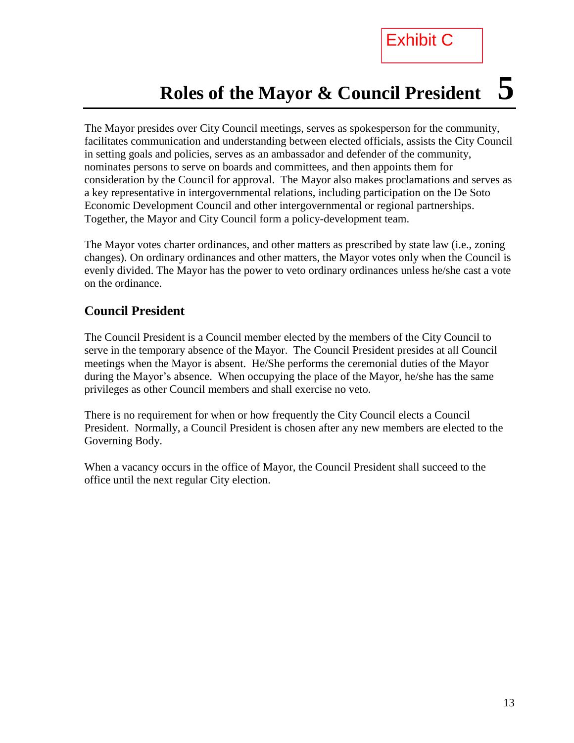### Exhibit C

### **Roles of the Mayor & Council President 5**

The Mayor presides over City Council meetings, serves as spokesperson for the community, facilitates communication and understanding between elected officials, assists the City Council in setting goals and policies, serves as an ambassador and defender of the community, nominates persons to serve on boards and committees, and then appoints them for consideration by the Council for approval. The Mayor also makes proclamations and serves as a key representative in intergovernmental relations, including participation on the De Soto Economic Development Council and other intergovernmental or regional partnerships. Together, the Mayor and City Council form a policy-development team.

The Mayor votes charter ordinances, and other matters as prescribed by state law (i.e., zoning changes). On ordinary ordinances and other matters, the Mayor votes only when the Council is evenly divided. The Mayor has the power to veto ordinary ordinances unless he/she cast a vote on the ordinance.

#### **Council President**

The Council President is a Council member elected by the members of the City Council to serve in the temporary absence of the Mayor. The Council President presides at all Council meetings when the Mayor is absent. He/She performs the ceremonial duties of the Mayor during the Mayor's absence. When occupying the place of the Mayor, he/she has the same privileges as other Council members and shall exercise no veto.

There is no requirement for when or how frequently the City Council elects a Council President. Normally, a Council President is chosen after any new members are elected to the Governing Body.

When a vacancy occurs in the office of Mayor, the Council President shall succeed to the office until the next regular City election.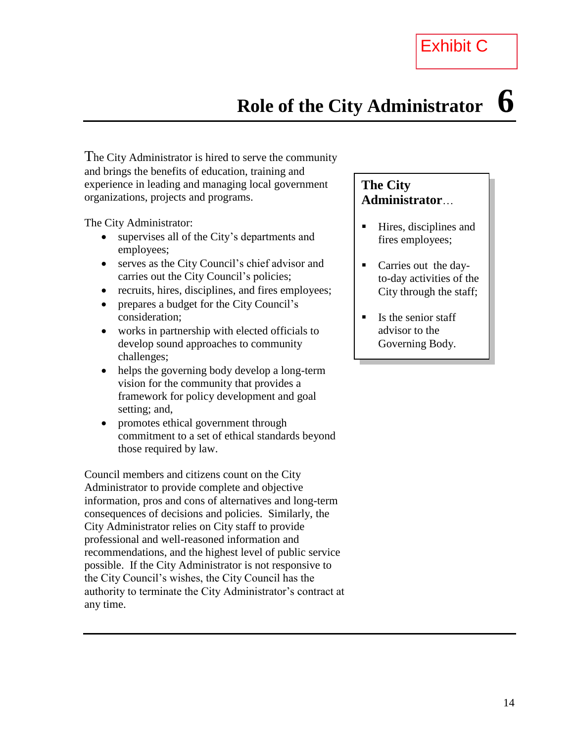### **Role of the City Administrator 6**

The City Administrator is hired to serve the community and brings the benefits of education, training and experience in leading and managing local government organizations, projects and programs.

The City Administrator:

- supervises all of the City's departments and employees;
- serves as the City Council's chief advisor and carries out the City Council's policies;
- recruits, hires, disciplines, and fires employees;
- prepares a budget for the City Council's consideration;
- works in partnership with elected officials to develop sound approaches to community challenges;
- helps the governing body develop a long-term vision for the community that provides a framework for policy development and goal setting; and,
- promotes ethical government through commitment to a set of ethical standards beyond those required by law.

Council members and citizens count on the City Administrator to provide complete and objective information, pros and cons of alternatives and long-term consequences of decisions and policies. Similarly, the City Administrator relies on City staff to provide professional and well-reasoned information and recommendations, and the highest level of public service possible. If the City Administrator is not responsive to the City Council's wishes, the City Council has the authority to terminate the City Administrator's contract at any time.

#### **The City Administrator**…

- Hires, disciplines and fires employees;
- Carries out the dayto-day activities of the City through the staff;
- $\blacksquare$  Is the senior staff advisor to the Governing Body.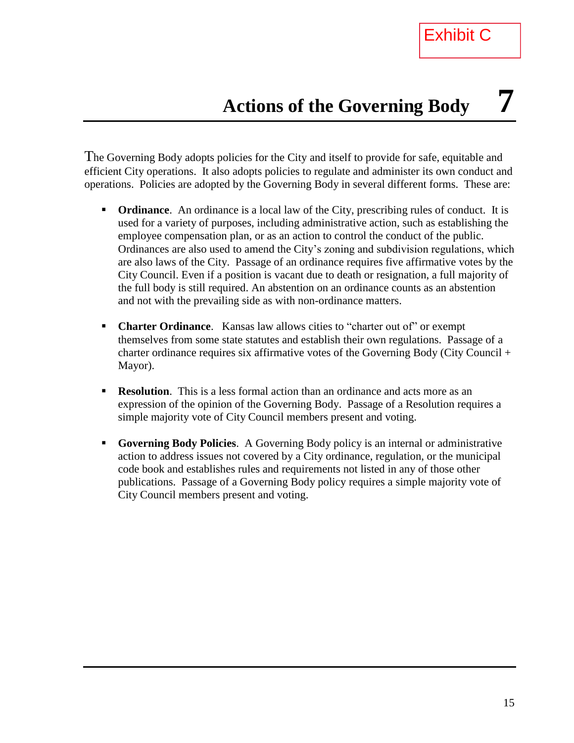The Governing Body adopts policies for the City and itself to provide for safe, equitable and efficient City operations. It also adopts policies to regulate and administer its own conduct and operations. Policies are adopted by the Governing Body in several different forms. These are:

- **Ordinance**. An ordinance is a local law of the City, prescribing rules of conduct. It is used for a variety of purposes, including administrative action, such as establishing the employee compensation plan, or as an action to control the conduct of the public. Ordinances are also used to amend the City's zoning and subdivision regulations, which are also laws of the City. Passage of an ordinance requires five affirmative votes by the City Council. Even if a position is vacant due to death or resignation, a full majority of the full body is still required. An abstention on an ordinance counts as an abstention and not with the prevailing side as with non-ordinance matters.
- **Charter Ordinance.** Kansas law allows cities to "charter out of" or exempt themselves from some state statutes and establish their own regulations. Passage of a charter ordinance requires six affirmative votes of the Governing Body (City Council + Mayor).
- **Resolution**. This is a less formal action than an ordinance and acts more as an expression of the opinion of the Governing Body. Passage of a Resolution requires a simple majority vote of City Council members present and voting.
- **Governing Body Policies**. A Governing Body policy is an internal or administrative action to address issues not covered by a City ordinance, regulation, or the municipal code book and establishes rules and requirements not listed in any of those other publications. Passage of a Governing Body policy requires a simple majority vote of City Council members present and voting.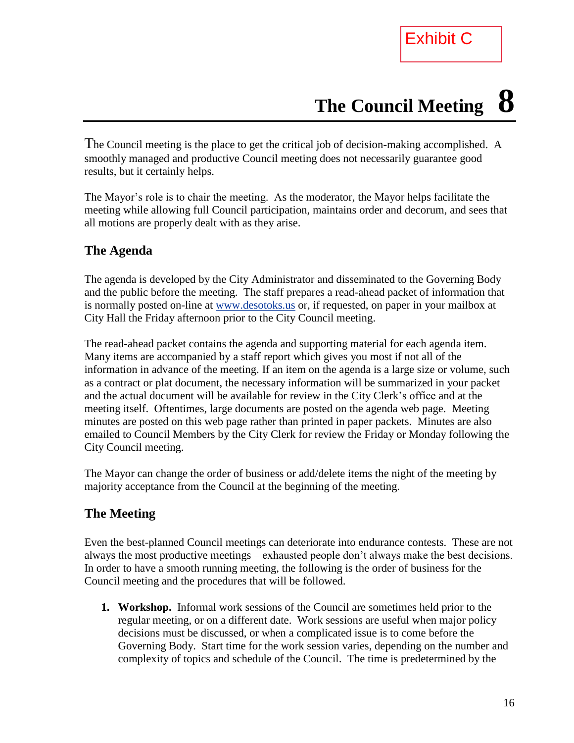# **The Council Meeting 8**

The Council meeting is the place to get the critical job of decision-making accomplished. A smoothly managed and productive Council meeting does not necessarily guarantee good results, but it certainly helps.

The Mayor's role is to chair the meeting. As the moderator, the Mayor helps facilitate the meeting while allowing full Council participation, maintains order and decorum, and sees that all motions are properly dealt with as they arise.

#### **The Agenda**

The agenda is developed by the City Administrator and disseminated to the Governing Body and the public before the meeting. The staff prepares a read-ahead packet of information that is normally posted on-line at [www.desotoks.us](http://www.desotoks.us/) or, if requested, on paper in your mailbox at City Hall the Friday afternoon prior to the City Council meeting.

The read-ahead packet contains the agenda and supporting material for each agenda item. Many items are accompanied by a staff report which gives you most if not all of the information in advance of the meeting. If an item on the agenda is a large size or volume, such as a contract or plat document, the necessary information will be summarized in your packet and the actual document will be available for review in the City Clerk's office and at the meeting itself. Oftentimes, large documents are posted on the agenda web page. Meeting minutes are posted on this web page rather than printed in paper packets. Minutes are also emailed to Council Members by the City Clerk for review the Friday or Monday following the City Council meeting.

The Mayor can change the order of business or add/delete items the night of the meeting by majority acceptance from the Council at the beginning of the meeting.

#### **The Meeting**

Even the best-planned Council meetings can deteriorate into endurance contests. These are not always the most productive meetings – exhausted people don't always make the best decisions. In order to have a smooth running meeting, the following is the order of business for the Council meeting and the procedures that will be followed.

**1. Workshop.** Informal work sessions of the Council are sometimes held prior to the regular meeting, or on a different date. Work sessions are useful when major policy decisions must be discussed, or when a complicated issue is to come before the Governing Body. Start time for the work session varies, depending on the number and complexity of topics and schedule of the Council. The time is predetermined by the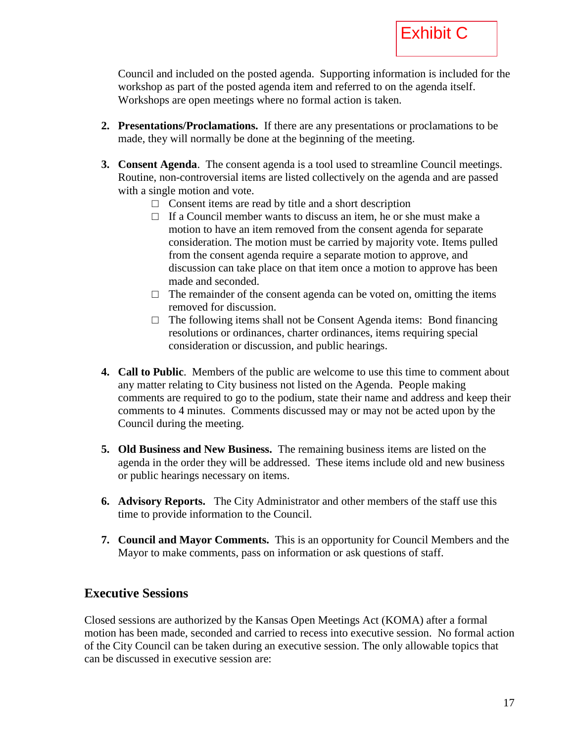Council and included on the posted agenda. Supporting information is included for the workshop as part of the posted agenda item and referred to on the agenda itself. Workshops are open meetings where no formal action is taken.

- **2. Presentations/Proclamations.** If there are any presentations or proclamations to be made, they will normally be done at the beginning of the meeting.
- **3. Consent Agenda**. The consent agenda is a tool used to streamline Council meetings. Routine, non-controversial items are listed collectively on the agenda and are passed with a single motion and vote.
	- **□** Consent items are read by title and a short description
	- **□** If a Council member wants to discuss an item, he or she must make a motion to have an item removed from the consent agenda for separate consideration. The motion must be carried by majority vote. Items pulled from the consent agenda require a separate motion to approve, and discussion can take place on that item once a motion to approve has been made and seconded.
	- □ The remainder of the consent agenda can be voted on, omitting the items removed for discussion.
	- **□** The following items shall not be Consent Agenda items: Bond financing resolutions or ordinances, charter ordinances, items requiring special consideration or discussion, and public hearings.
- **4. Call to Public**. Members of the public are welcome to use this time to comment about any matter relating to City business not listed on the Agenda. People making comments are required to go to the podium, state their name and address and keep their comments to 4 minutes. Comments discussed may or may not be acted upon by the Council during the meeting.
- **5. Old Business and New Business.** The remaining business items are listed on the agenda in the order they will be addressed. These items include old and new business or public hearings necessary on items.
- **6. Advisory Reports.** The City Administrator and other members of the staff use this time to provide information to the Council.
- **7. Council and Mayor Comments.** This is an opportunity for Council Members and the Mayor to make comments, pass on information or ask questions of staff.

#### **Executive Sessions**

Closed sessions are authorized by the Kansas Open Meetings Act (KOMA) after a formal motion has been made, seconded and carried to recess into executive session. No formal action of the City Council can be taken during an executive session. The only allowable topics that can be discussed in executive session are: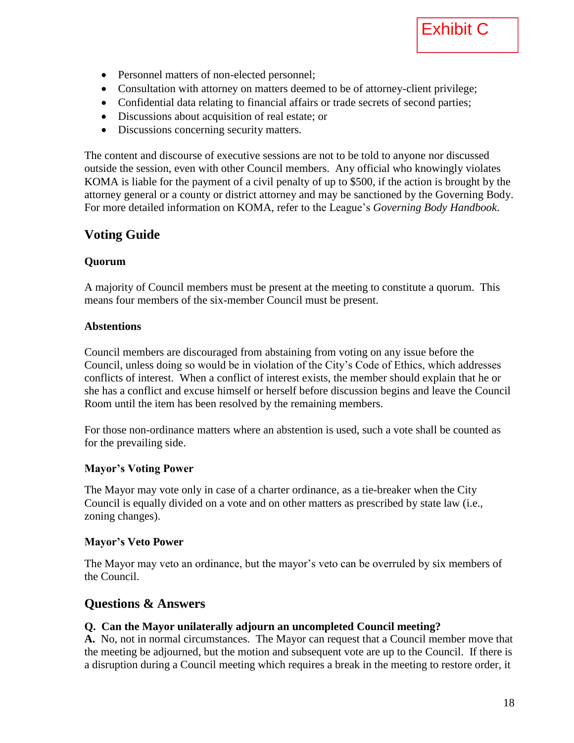- Personnel matters of non-elected personnel;
- Consultation with attorney on matters deemed to be of attorney-client privilege;
- Confidential data relating to financial affairs or trade secrets of second parties;
- Discussions about acquisition of real estate; or
- Discussions concerning security matters.

The content and discourse of executive sessions are not to be told to anyone nor discussed outside the session, even with other Council members. Any official who knowingly violates KOMA is liable for the payment of a civil penalty of up to \$500, if the action is brought by the attorney general or a county or district attorney and may be sanctioned by the Governing Body. For more detailed information on KOMA, refer to the League's *Governing Body Handbook*.

#### **Voting Guide**

#### **Quorum**

A majority of Council members must be present at the meeting to constitute a quorum. This means four members of the six-member Council must be present.

#### **Abstentions**

Council members are discouraged from abstaining from voting on any issue before the Council, unless doing so would be in violation of the City's Code of Ethics, which addresses conflicts of interest. When a conflict of interest exists, the member should explain that he or she has a conflict and excuse himself or herself before discussion begins and leave the Council Room until the item has been resolved by the remaining members.

For those non-ordinance matters where an abstention is used, such a vote shall be counted as for the prevailing side.

#### **Mayor's Voting Power**

The Mayor may vote only in case of a charter ordinance, as a tie-breaker when the City Council is equally divided on a vote and on other matters as prescribed by state law (i.e., zoning changes).

#### **Mayor's Veto Power**

The Mayor may veto an ordinance, but the mayor's veto can be overruled by six members of the Council.

#### **Questions & Answers**

#### **Q. Can the Mayor unilaterally adjourn an uncompleted Council meeting?**

**A.** No, not in normal circumstances. The Mayor can request that a Council member move that the meeting be adjourned, but the motion and subsequent vote are up to the Council. If there is a disruption during a Council meeting which requires a break in the meeting to restore order, it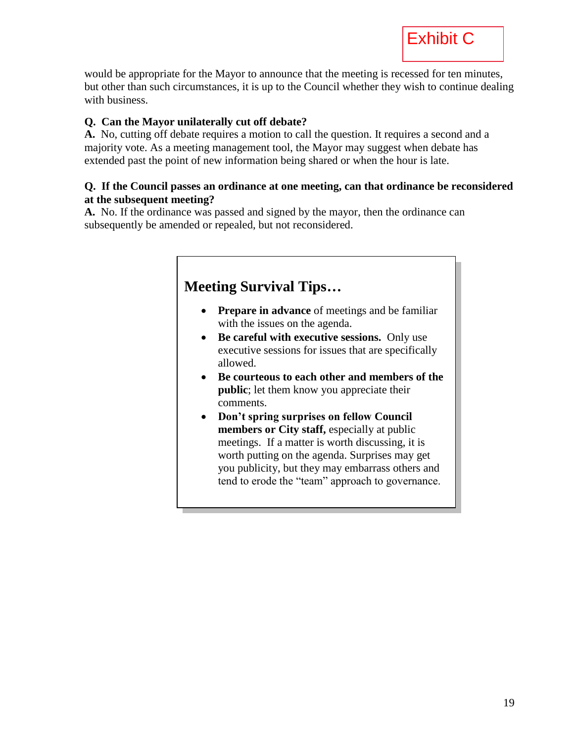would be appropriate for the Mayor to announce that the meeting is recessed for ten minutes, but other than such circumstances, it is up to the Council whether they wish to continue dealing with business.

#### **Q. Can the Mayor unilaterally cut off debate?**

**A.** No, cutting off debate requires a motion to call the question. It requires a second and a majority vote. As a meeting management tool, the Mayor may suggest when debate has extended past the point of new information being shared or when the hour is late.

#### **Q. If the Council passes an ordinance at one meeting, can that ordinance be reconsidered at the subsequent meeting?**

**A.** No. If the ordinance was passed and signed by the mayor, then the ordinance can subsequently be amended or repealed, but not reconsidered.

#### **Meeting Survival Tips… • Prepare in advance** of meetings and be familiar with the issues on the agenda. **Be careful with executive sessions.** Only use executive sessions for issues that are specifically allowed. **Be courteous to each other and members of the public**; let them know you appreciate their comments. **Don't spring surprises on fellow Council members or City staff,** especially at public meetings. If a matter is worth discussing, it is worth putting on the agenda. Surprises may get you publicity, but they may embarrass others and tend to erode the "team" approach to governance.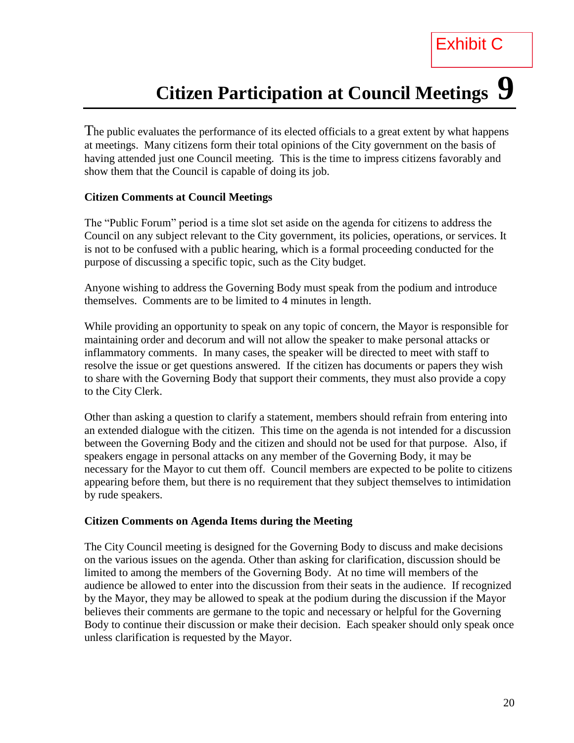# **Citizen Participation at Council Meetings 9**

Exhibit C

The public evaluates the performance of its elected officials to a great extent by what happens at meetings. Many citizens form their total opinions of the City government on the basis of having attended just one Council meeting. This is the time to impress citizens favorably and show them that the Council is capable of doing its job.

#### **Citizen Comments at Council Meetings**

The "Public Forum" period is a time slot set aside on the agenda for citizens to address the Council on any subject relevant to the City government, its policies, operations, or services. It is not to be confused with a public hearing, which is a formal proceeding conducted for the purpose of discussing a specific topic, such as the City budget.

Anyone wishing to address the Governing Body must speak from the podium and introduce themselves. Comments are to be limited to 4 minutes in length.

While providing an opportunity to speak on any topic of concern, the Mayor is responsible for maintaining order and decorum and will not allow the speaker to make personal attacks or inflammatory comments. In many cases, the speaker will be directed to meet with staff to resolve the issue or get questions answered. If the citizen has documents or papers they wish to share with the Governing Body that support their comments, they must also provide a copy to the City Clerk.

Other than asking a question to clarify a statement, members should refrain from entering into an extended dialogue with the citizen. This time on the agenda is not intended for a discussion between the Governing Body and the citizen and should not be used for that purpose. Also, if speakers engage in personal attacks on any member of the Governing Body, it may be necessary for the Mayor to cut them off. Council members are expected to be polite to citizens appearing before them, but there is no requirement that they subject themselves to intimidation by rude speakers.

#### **Citizen Comments on Agenda Items during the Meeting**

The City Council meeting is designed for the Governing Body to discuss and make decisions on the various issues on the agenda. Other than asking for clarification, discussion should be limited to among the members of the Governing Body. At no time will members of the audience be allowed to enter into the discussion from their seats in the audience. If recognized by the Mayor, they may be allowed to speak at the podium during the discussion if the Mayor believes their comments are germane to the topic and necessary or helpful for the Governing Body to continue their discussion or make their decision. Each speaker should only speak once unless clarification is requested by the Mayor.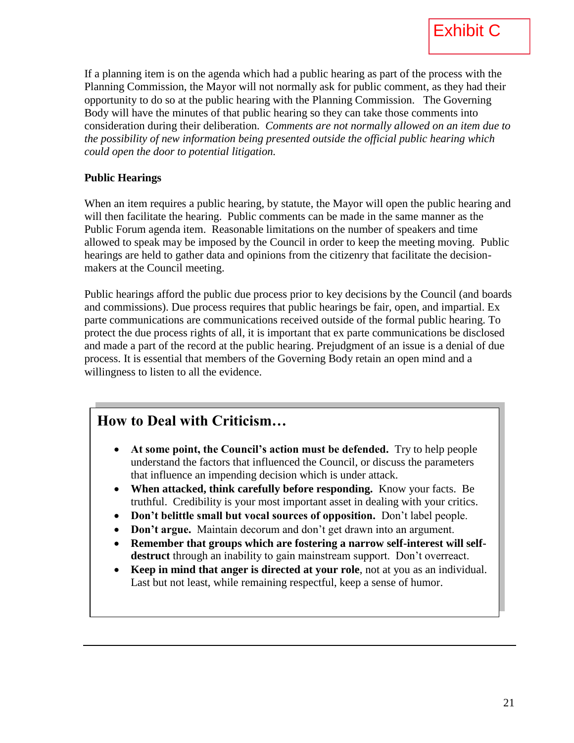If a planning item is on the agenda which had a public hearing as part of the process with the Planning Commission, the Mayor will not normally ask for public comment, as they had their opportunity to do so at the public hearing with the Planning Commission. The Governing Body will have the minutes of that public hearing so they can take those comments into consideration during their deliberation. *Comments are not normally allowed on an item due to the possibility of new information being presented outside the official public hearing which could open the door to potential litigation.*

#### **Public Hearings**

When an item requires a public hearing, by statute, the Mayor will open the public hearing and will then facilitate the hearing. Public comments can be made in the same manner as the Public Forum agenda item. Reasonable limitations on the number of speakers and time allowed to speak may be imposed by the Council in order to keep the meeting moving. Public hearings are held to gather data and opinions from the citizenry that facilitate the decisionmakers at the Council meeting.

Public hearings afford the public due process prior to key decisions by the Council (and boards and commissions). Due process requires that public hearings be fair, open, and impartial. Ex parte communications are communications received outside of the formal public hearing. To protect the due process rights of all, it is important that ex parte communications be disclosed and made a part of the record at the public hearing. Prejudgment of an issue is a denial of due process. It is essential that members of the Governing Body retain an open mind and a willingness to listen to all the evidence.

#### **How to Deal with Criticism…**

- **At some point, the Council's action must be defended.** Try to help people understand the factors that influenced the Council, or discuss the parameters that influence an impending decision which is under attack.
- **When attacked, think carefully before responding.** Know your facts. Be truthful. Credibility is your most important asset in dealing with your critics.
- **Don't belittle small but vocal sources of opposition.** Don't label people.
- **Don't argue.** Maintain decorum and don't get drawn into an argument.
- Remember that groups which are fostering a narrow self-interest will self**destruct** through an inability to gain mainstream support. Don't overreact.
- **Keep in mind that anger is directed at your role**, not at you as an individual. Last but not least, while remaining respectful, keep a sense of humor.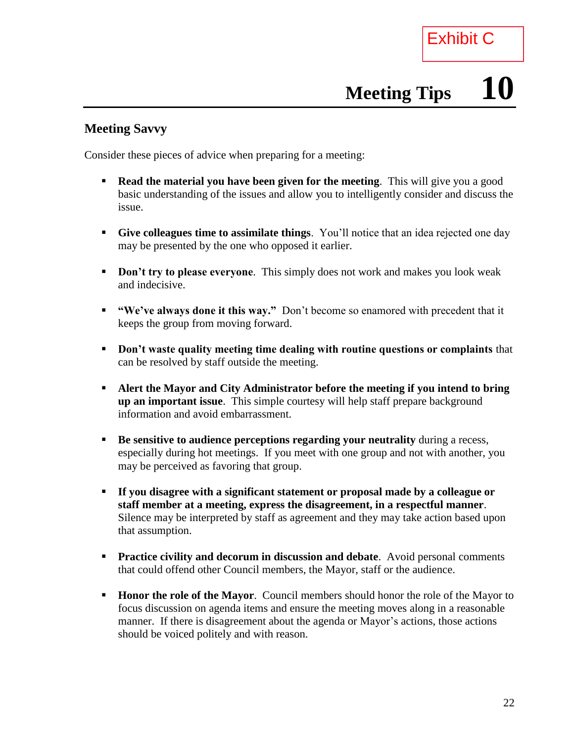# **Meeting Tips 10**

#### **Meeting Savvy**

Consider these pieces of advice when preparing for a meeting:

- **Read the material you have been given for the meeting.** This will give you a good basic understanding of the issues and allow you to intelligently consider and discuss the issue.
- **Give colleagues time to assimilate things**. You'll notice that an idea rejected one day may be presented by the one who opposed it earlier.
- **Don't try to please everyone.** This simply does not work and makes you look weak and indecisive.
- **"We've always done it this way."** Don't become so enamored with precedent that it keeps the group from moving forward.
- **Don't waste quality meeting time dealing with routine questions or complaints** that can be resolved by staff outside the meeting.
- **Alert the Mayor and City Administrator before the meeting if you intend to bring up an important issue**. This simple courtesy will help staff prepare background information and avoid embarrassment.
- **Be sensitive to audience perceptions regarding your neutrality** during a recess, especially during hot meetings. If you meet with one group and not with another, you may be perceived as favoring that group.
- **If you disagree with a significant statement or proposal made by a colleague or staff member at a meeting, express the disagreement, in a respectful manner**. Silence may be interpreted by staff as agreement and they may take action based upon that assumption.
- **Practice civility and decorum in discussion and debate**. Avoid personal comments that could offend other Council members, the Mayor, staff or the audience.
- **Honor the role of the Mayor.** Council members should honor the role of the Mayor to focus discussion on agenda items and ensure the meeting moves along in a reasonable manner. If there is disagreement about the agenda or Mayor's actions, those actions should be voiced politely and with reason.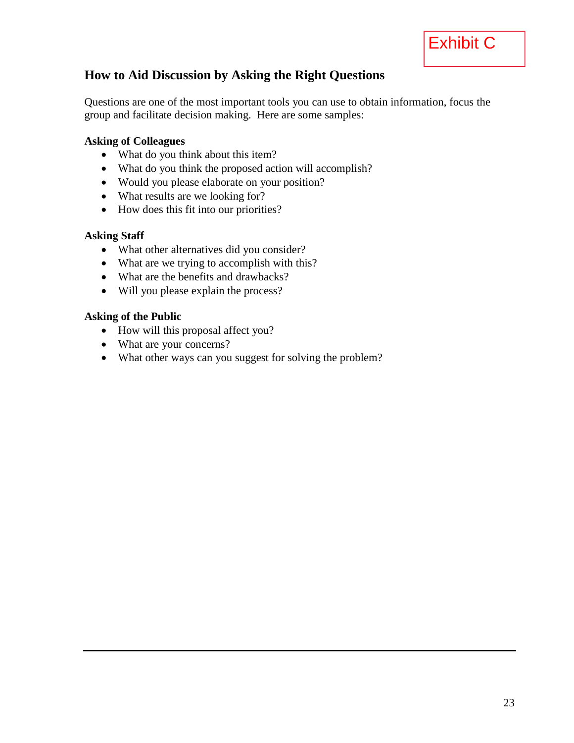

#### **How to Aid Discussion by Asking the Right Questions**

Questions are one of the most important tools you can use to obtain information, focus the group and facilitate decision making. Here are some samples:

#### **Asking of Colleagues**

- What do you think about this item?
- What do you think the proposed action will accomplish?
- Would you please elaborate on your position?
- What results are we looking for?
- How does this fit into our priorities?

#### **Asking Staff**

- What other alternatives did you consider?
- What are we trying to accomplish with this?
- What are the benefits and drawbacks?
- Will you please explain the process?

#### **Asking of the Public**

- How will this proposal affect you?
- What are your concerns?
- What other ways can you suggest for solving the problem?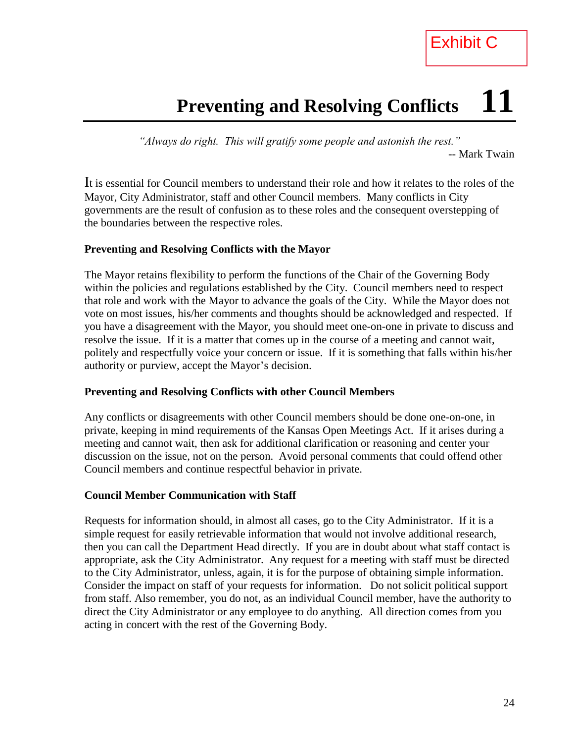## **Preventing and Resolving Conflicts 11**

*"Always do right. This will gratify some people and astonish the rest."* -- Mark Twain

It is essential for Council members to understand their role and how it relates to the roles of the Mayor, City Administrator, staff and other Council members. Many conflicts in City governments are the result of confusion as to these roles and the consequent overstepping of the boundaries between the respective roles.

#### **Preventing and Resolving Conflicts with the Mayor**

The Mayor retains flexibility to perform the functions of the Chair of the Governing Body within the policies and regulations established by the City. Council members need to respect that role and work with the Mayor to advance the goals of the City. While the Mayor does not vote on most issues, his/her comments and thoughts should be acknowledged and respected. If you have a disagreement with the Mayor, you should meet one-on-one in private to discuss and resolve the issue. If it is a matter that comes up in the course of a meeting and cannot wait, politely and respectfully voice your concern or issue. If it is something that falls within his/her authority or purview, accept the Mayor's decision.

#### **Preventing and Resolving Conflicts with other Council Members**

Any conflicts or disagreements with other Council members should be done one-on-one, in private, keeping in mind requirements of the Kansas Open Meetings Act. If it arises during a meeting and cannot wait, then ask for additional clarification or reasoning and center your discussion on the issue, not on the person. Avoid personal comments that could offend other Council members and continue respectful behavior in private.

#### **Council Member Communication with Staff**

Requests for information should, in almost all cases, go to the City Administrator. If it is a simple request for easily retrievable information that would not involve additional research, then you can call the Department Head directly. If you are in doubt about what staff contact is appropriate, ask the City Administrator. Any request for a meeting with staff must be directed to the City Administrator, unless, again, it is for the purpose of obtaining simple information. Consider the impact on staff of your requests for information. Do not solicit political support from staff. Also remember, you do not, as an individual Council member, have the authority to direct the City Administrator or any employee to do anything. All direction comes from you acting in concert with the rest of the Governing Body.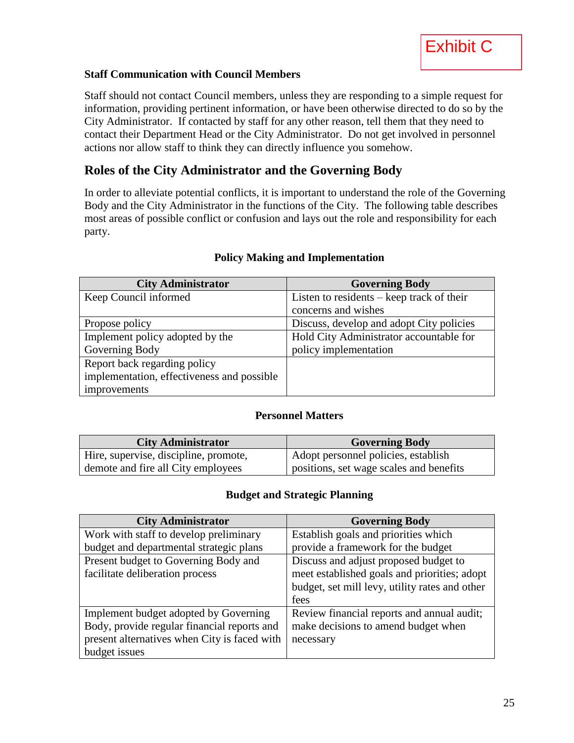

#### **Staff Communication with Council Members**

Staff should not contact Council members, unless they are responding to a simple request for information, providing pertinent information, or have been otherwise directed to do so by the City Administrator. If contacted by staff for any other reason, tell them that they need to contact their Department Head or the City Administrator. Do not get involved in personnel actions nor allow staff to think they can directly influence you somehow.

#### **Roles of the City Administrator and the Governing Body**

In order to alleviate potential conflicts, it is important to understand the role of the Governing Body and the City Administrator in the functions of the City. The following table describes most areas of possible conflict or confusion and lays out the role and responsibility for each party.

| <b>City Administrator</b>                  | <b>Governing Body</b>                       |
|--------------------------------------------|---------------------------------------------|
| Keep Council informed                      | Listen to residents $-$ keep track of their |
|                                            | concerns and wishes                         |
| Propose policy                             | Discuss, develop and adopt City policies    |
| Implement policy adopted by the            | Hold City Administrator accountable for     |
| Governing Body                             | policy implementation                       |
| Report back regarding policy               |                                             |
| implementation, effectiveness and possible |                                             |
| improvements                               |                                             |

#### **Policy Making and Implementation**

#### **Personnel Matters**

| <b>City Administrator</b>             | <b>Governing Body</b>                   |
|---------------------------------------|-----------------------------------------|
| Hire, supervise, discipline, promote, | Adopt personnel policies, establish     |
| demote and fire all City employees    | positions, set wage scales and benefits |

#### **Budget and Strategic Planning**

| <b>City Administrator</b>                    | <b>Governing Body</b>                          |
|----------------------------------------------|------------------------------------------------|
| Work with staff to develop preliminary       | Establish goals and priorities which           |
| budget and departmental strategic plans      | provide a framework for the budget             |
| Present budget to Governing Body and         | Discuss and adjust proposed budget to          |
| facilitate deliberation process              | meet established goals and priorities; adopt   |
|                                              | budget, set mill levy, utility rates and other |
|                                              | fees                                           |
| Implement budget adopted by Governing        | Review financial reports and annual audit;     |
| Body, provide regular financial reports and  | make decisions to amend budget when            |
| present alternatives when City is faced with | necessary                                      |
| budget issues                                |                                                |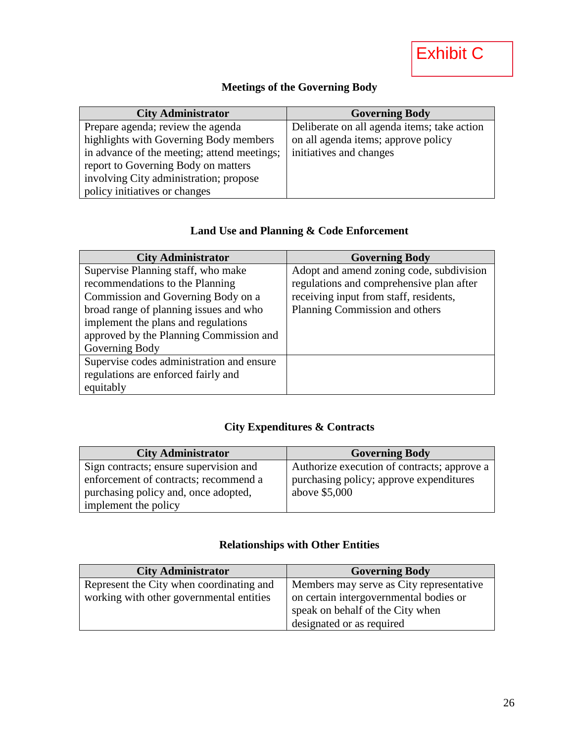#### **Meetings of the Governing Body**

| <b>City Administrator</b>                   | <b>Governing Body</b>                       |
|---------------------------------------------|---------------------------------------------|
| Prepare agenda; review the agenda           | Deliberate on all agenda items; take action |
| highlights with Governing Body members      | on all agenda items; approve policy         |
| in advance of the meeting; attend meetings; | initiatives and changes                     |
| report to Governing Body on matters         |                                             |
| involving City administration; propose      |                                             |
| policy initiatives or changes               |                                             |

#### **Land Use and Planning & Code Enforcement**

| <b>City Administrator</b>                 | <b>Governing Body</b>                    |
|-------------------------------------------|------------------------------------------|
| Supervise Planning staff, who make        | Adopt and amend zoning code, subdivision |
| recommendations to the Planning           | regulations and comprehensive plan after |
| Commission and Governing Body on a        | receiving input from staff, residents,   |
| broad range of planning issues and who    | Planning Commission and others           |
| implement the plans and regulations       |                                          |
| approved by the Planning Commission and   |                                          |
| Governing Body                            |                                          |
| Supervise codes administration and ensure |                                          |
| regulations are enforced fairly and       |                                          |
| equitably                                 |                                          |

#### **City Expenditures & Contracts**

| <b>City Administrator</b>              | <b>Governing Body</b>                       |
|----------------------------------------|---------------------------------------------|
| Sign contracts; ensure supervision and | Authorize execution of contracts; approve a |
| enforcement of contracts; recommend a  | purchasing policy; approve expenditures     |
| purchasing policy and, once adopted,   | above \$5,000                               |
| implement the policy                   |                                             |

#### **Relationships with Other Entities**

| <b>City Administrator</b>                | <b>Governing Body</b>                    |
|------------------------------------------|------------------------------------------|
| Represent the City when coordinating and | Members may serve as City representative |
| working with other governmental entities | on certain intergovernmental bodies or   |
|                                          | speak on behalf of the City when         |
|                                          | designated or as required                |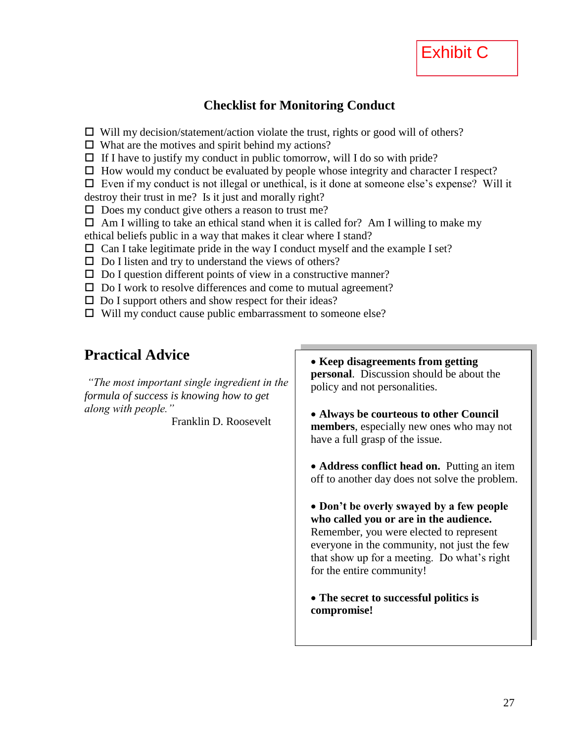

#### **Checklist for Monitoring Conduct**

 $\Box$  Will my decision/statement/action violate the trust, rights or good will of others?

 $\Box$  What are the motives and spirit behind my actions?

 $\Box$  If I have to justify my conduct in public tomorrow, will I do so with pride?

 $\Box$  How would my conduct be evaluated by people whose integrity and character I respect?

 $\Box$  Even if my conduct is not illegal or unethical, is it done at someone else's expense? Will it destroy their trust in me? Is it just and morally right?

 $\Box$  Does my conduct give others a reason to trust me?

 $\Box$  Am I willing to take an ethical stand when it is called for? Am I willing to make my ethical beliefs public in a way that makes it clear where I stand?

 $\Box$  Can I take legitimate pride in the way I conduct myself and the example I set?

- $\square$  Do I listen and try to understand the views of others?
- $\square$  Do I question different points of view in a constructive manner?
- $\square$  Do I work to resolve differences and come to mutual agreement?
- $\square$  Do I support others and show respect for their ideas?
- $\Box$  Will my conduct cause public embarrassment to someone else?

#### **Practical Advice**

*"The most important single ingredient in the formula of success is knowing how to get along with people."*

Franklin D. Roosevelt

- **Keep disagreements from getting personal**. Discussion should be about the policy and not personalities.
- **Always be courteous to other Council members**, especially new ones who may not have a full grasp of the issue.

• **Address conflict head on.** Putting an item off to another day does not solve the problem.

 **Don't be overly swayed by a few people who called you or are in the audience.** Remember, you were elected to represent everyone in the community, not just the few that show up for a meeting. Do what's right for the entire community!

 **The secret to successful politics is compromise!**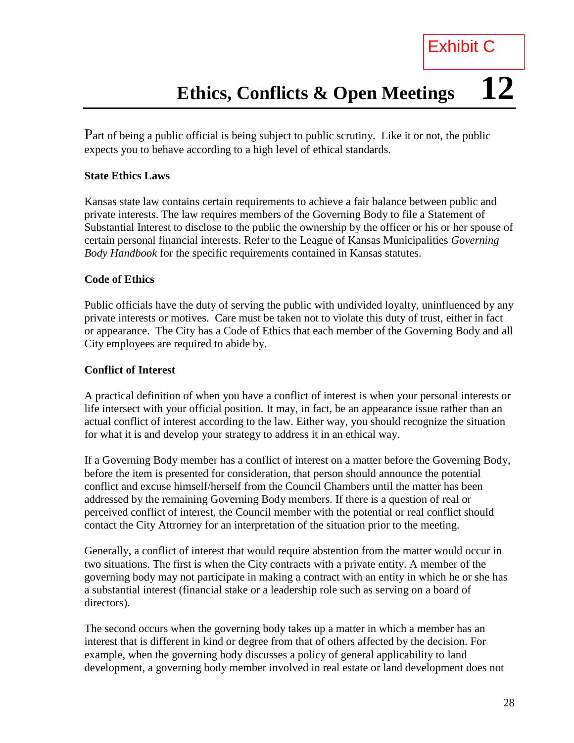Part of being a public official is being subject to public scrutiny. Like it or not, the public expects you to behave according to a high level of ethical standards.

#### **State Ethics Laws**

Kansas state law contains certain requirements to achieve a fair balance between public and private interests. The law requires members of the Governing Body to file a Statement of Substantial Interest to disclose to the public the ownership by the officer or his or her spouse of certain personal financial interests. Refer to the League of Kansas Municipalities *Governing Body Handbook* for the specific requirements contained in Kansas statutes.

#### **Code of Ethics**

Public officials have the duty of serving the public with undivided loyalty, uninfluenced by any private interests or motives. Care must be taken not to violate this duty of trust, either in fact or appearance. The City has a Code of Ethics that each member of the Governing Body and all City employees are required to abide by.

#### **Conflict of Interest**

A practical definition of when you have a conflict of interest is when your personal interests or life intersect with your official position. It may, in fact, be an appearance issue rather than an actual conflict of interest according to the law. Either way, you should recognize the situation for what it is and develop your strategy to address it in an ethical way.

If a Governing Body member has a conflict of interest on a matter before the Governing Body, before the item is presented for consideration, that person should announce the potential conflict and excuse himself/herself from the Council Chambers until the matter has been addressed by the remaining Governing Body members. If there is a question of real or perceived conflict of interest, the Council member with the potential or real conflict should contact the City Attrorney for an interpretation of the situation prior to the meeting.

Generally, a conflict of interest that would require abstention from the matter would occur in two situations. The first is when the City contracts with a private entity. A member of the governing body may not participate in making a contract with an entity in which he or she has a substantial interest (financial stake or a leadership role such as serving on a board of directors).

The second occurs when the governing body takes up a matter in which a member has an interest that is different in kind or degree from that of others affected by the decision. For example, when the governing body discusses a policy of general applicability to land development, a governing body member involved in real estate or land development does not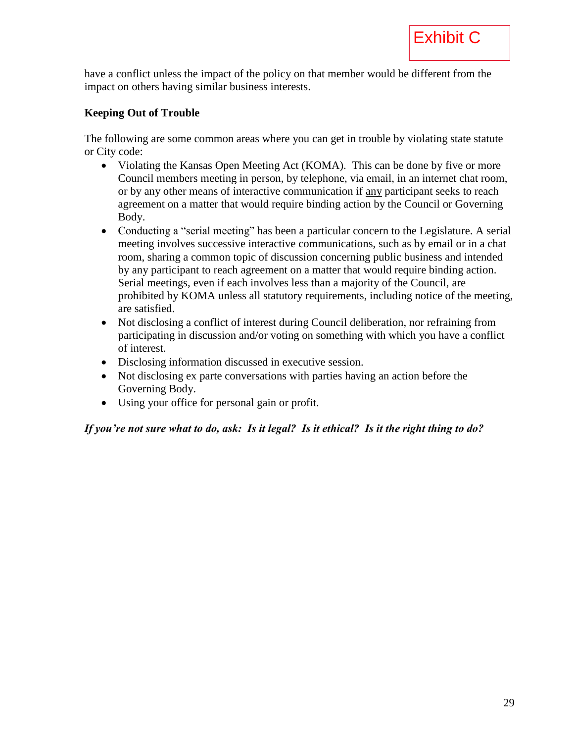have a conflict unless the impact of the policy on that member would be different from the impact on others having similar business interests.

#### **Keeping Out of Trouble**

The following are some common areas where you can get in trouble by violating state statute or City code:

- Violating the Kansas Open Meeting Act (KOMA). This can be done by five or more Council members meeting in person, by telephone, via email, in an internet chat room, or by any other means of interactive communication if any participant seeks to reach agreement on a matter that would require binding action by the Council or Governing Body.
- Conducting a "serial meeting" has been a particular concern to the Legislature. A serial meeting involves successive interactive communications, such as by email or in a chat room, sharing a common topic of discussion concerning public business and intended by any participant to reach agreement on a matter that would require binding action. Serial meetings, even if each involves less than a majority of the Council, are prohibited by KOMA unless all statutory requirements, including notice of the meeting, are satisfied.
- Not disclosing a conflict of interest during Council deliberation, nor refraining from participating in discussion and/or voting on something with which you have a conflict of interest.
- Disclosing information discussed in executive session.
- Not disclosing ex parte conversations with parties having an action before the Governing Body.
- Using your office for personal gain or profit.

*If you're not sure what to do, ask: Is it legal? Is it ethical? Is it the right thing to do?*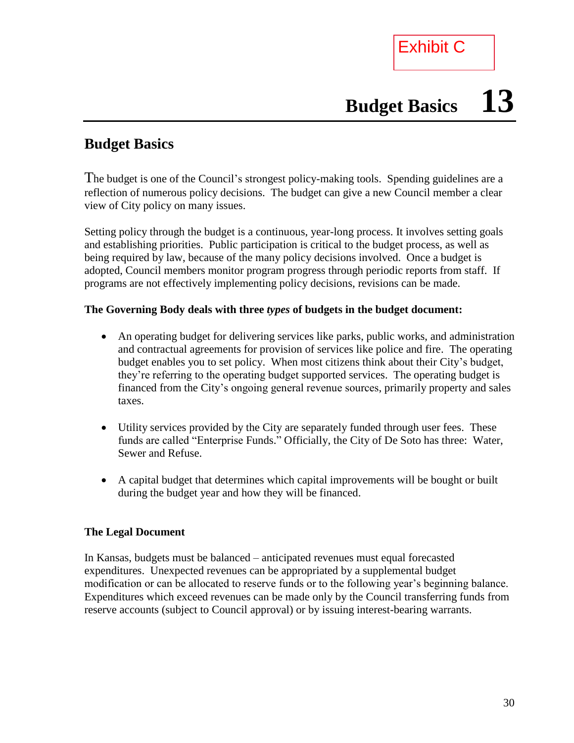Exhibit C

# **Budget Basics 13**

#### **Budget Basics**

The budget is one of the Council's strongest policy-making tools. Spending guidelines are a reflection of numerous policy decisions. The budget can give a new Council member a clear view of City policy on many issues.

Setting policy through the budget is a continuous, year-long process. It involves setting goals and establishing priorities. Public participation is critical to the budget process, as well as being required by law, because of the many policy decisions involved. Once a budget is adopted, Council members monitor program progress through periodic reports from staff. If programs are not effectively implementing policy decisions, revisions can be made.

#### **The Governing Body deals with three** *types* **of budgets in the budget document:**

- An operating budget for delivering services like parks, public works, and administration and contractual agreements for provision of services like police and fire. The operating budget enables you to set policy. When most citizens think about their City's budget, they're referring to the operating budget supported services. The operating budget is financed from the City's ongoing general revenue sources, primarily property and sales taxes.
- Utility services provided by the City are separately funded through user fees. These funds are called "Enterprise Funds." Officially, the City of De Soto has three: Water, Sewer and Refuse.
- A capital budget that determines which capital improvements will be bought or built during the budget year and how they will be financed.

#### **The Legal Document**

In Kansas, budgets must be balanced – anticipated revenues must equal forecasted expenditures. Unexpected revenues can be appropriated by a supplemental budget modification or can be allocated to reserve funds or to the following year's beginning balance. Expenditures which exceed revenues can be made only by the Council transferring funds from reserve accounts (subject to Council approval) or by issuing interest-bearing warrants.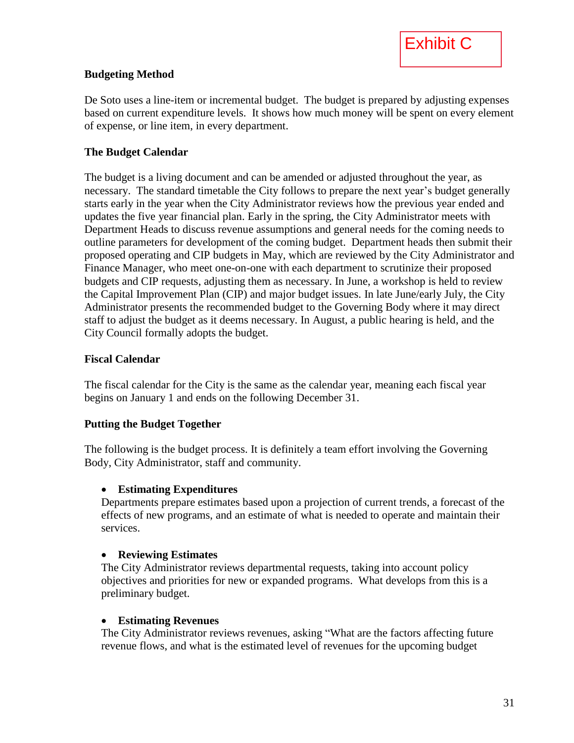

#### **Budgeting Method**

De Soto uses a line-item or incremental budget. The budget is prepared by adjusting expenses based on current expenditure levels. It shows how much money will be spent on every element of expense, or line item, in every department.

#### **The Budget Calendar**

The budget is a living document and can be amended or adjusted throughout the year, as necessary. The standard timetable the City follows to prepare the next year's budget generally starts early in the year when the City Administrator reviews how the previous year ended and updates the five year financial plan. Early in the spring, the City Administrator meets with Department Heads to discuss revenue assumptions and general needs for the coming needs to outline parameters for development of the coming budget. Department heads then submit their proposed operating and CIP budgets in May, which are reviewed by the City Administrator and Finance Manager, who meet one-on-one with each department to scrutinize their proposed budgets and CIP requests, adjusting them as necessary. In June, a workshop is held to review the Capital Improvement Plan (CIP) and major budget issues. In late June/early July, the City Administrator presents the recommended budget to the Governing Body where it may direct staff to adjust the budget as it deems necessary. In August, a public hearing is held, and the City Council formally adopts the budget.

#### **Fiscal Calendar**

The fiscal calendar for the City is the same as the calendar year, meaning each fiscal year begins on January 1 and ends on the following December 31.

#### **Putting the Budget Together**

The following is the budget process. It is definitely a team effort involving the Governing Body, City Administrator, staff and community.

#### **Estimating Expenditures**

Departments prepare estimates based upon a projection of current trends, a forecast of the effects of new programs, and an estimate of what is needed to operate and maintain their services.

#### **Reviewing Estimates**

The City Administrator reviews departmental requests, taking into account policy objectives and priorities for new or expanded programs. What develops from this is a preliminary budget.

#### **Estimating Revenues**

The City Administrator reviews revenues, asking "What are the factors affecting future revenue flows, and what is the estimated level of revenues for the upcoming budget